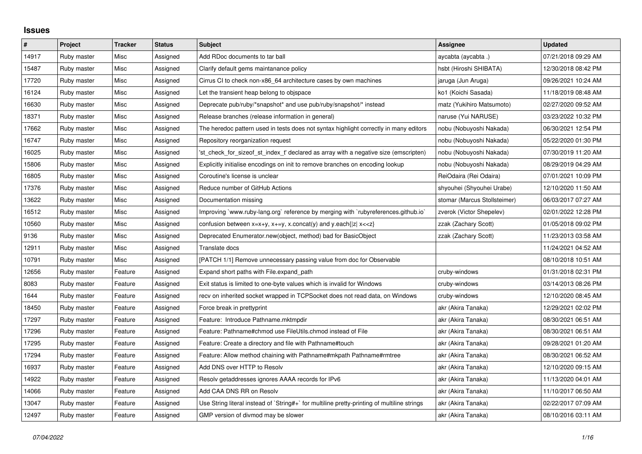## **Issues**

| $\vert$ # | Project     | <b>Tracker</b> | <b>Status</b> | <b>Subject</b>                                                                              | Assignee                     | <b>Updated</b>      |
|-----------|-------------|----------------|---------------|---------------------------------------------------------------------------------------------|------------------------------|---------------------|
| 14917     | Ruby master | Misc           | Assigned      | Add RDoc documents to tar ball                                                              | aycabta (aycabta.)           | 07/21/2018 09:29 AM |
| 15487     | Ruby master | Misc           | Assigned      | Clarify default gems maintanance policy                                                     | hsbt (Hiroshi SHIBATA)       | 12/30/2018 08:42 PM |
| 17720     | Ruby master | Misc           | Assigned      | Cirrus CI to check non-x86_64 architecture cases by own machines                            | jaruga (Jun Aruga)           | 09/26/2021 10:24 AM |
| 16124     | Ruby master | Misc           | Assigned      | Let the transient heap belong to objspace                                                   | ko1 (Koichi Sasada)          | 11/18/2019 08:48 AM |
| 16630     | Ruby master | Misc           | Assigned      | Deprecate pub/ruby/*snapshot* and use pub/ruby/snapshot/* instead                           | matz (Yukihiro Matsumoto)    | 02/27/2020 09:52 AM |
| 18371     | Ruby master | Misc           | Assigned      | Release branches (release information in general)                                           | naruse (Yui NARUSE)          | 03/23/2022 10:32 PM |
| 17662     | Ruby master | Misc           | Assigned      | The heredoc pattern used in tests does not syntax highlight correctly in many editors       | nobu (Nobuyoshi Nakada)      | 06/30/2021 12:54 PM |
| 16747     | Ruby master | Misc           | Assigned      | Repository reorganization request                                                           | nobu (Nobuyoshi Nakada)      | 05/22/2020 01:30 PM |
| 16025     | Ruby master | Misc           | Assigned      | 'st check for sizeof st index t' declared as array with a negative size (emscripten)        | nobu (Nobuyoshi Nakada)      | 07/30/2019 11:20 AM |
| 15806     | Ruby master | Misc           | Assigned      | Explicitly initialise encodings on init to remove branches on encoding lookup               | nobu (Nobuyoshi Nakada)      | 08/29/2019 04:29 AM |
| 16805     | Ruby master | Misc           | Assigned      | Coroutine's license is unclear                                                              | ReiOdaira (Rei Odaira)       | 07/01/2021 10:09 PM |
| 17376     | Ruby master | Misc           | Assigned      | Reduce number of GitHub Actions                                                             | shyouhei (Shyouhei Urabe)    | 12/10/2020 11:50 AM |
| 13622     | Ruby master | Misc           | Assigned      | Documentation missing                                                                       | stomar (Marcus Stollsteimer) | 06/03/2017 07:27 AM |
| 16512     | Ruby master | Misc           | Assigned      | Improving `www.ruby-lang.org` reference by merging with `rubyreferences.github.io`          | zverok (Victor Shepelev)     | 02/01/2022 12:28 PM |
| 10560     | Ruby master | Misc           | Assigned      | confusion between $x=x+y$ , $x+=y$ , x.concat(y) and y.each{ z  $x<}$                       | zzak (Zachary Scott)         | 01/05/2018 09:02 PM |
| 9136      | Ruby master | Misc           | Assigned      | Deprecated Enumerator.new(object, method) bad for BasicObject                               | zzak (Zachary Scott)         | 11/23/2013 03:58 AM |
| 12911     | Ruby master | Misc           | Assigned      | Translate docs                                                                              |                              | 11/24/2021 04:52 AM |
| 10791     | Ruby master | Misc           | Assigned      | [PATCH 1/1] Remove unnecessary passing value from doc for Observable                        |                              | 08/10/2018 10:51 AM |
| 12656     | Ruby master | Feature        | Assigned      | Expand short paths with File.expand path                                                    | cruby-windows                | 01/31/2018 02:31 PM |
| 8083      | Ruby master | Feature        | Assigned      | Exit status is limited to one-byte values which is invalid for Windows                      | cruby-windows                | 03/14/2013 08:26 PM |
| 1644      | Ruby master | Feature        | Assigned      | recv on inherited socket wrapped in TCPSocket does not read data, on Windows                | cruby-windows                | 12/10/2020 08:45 AM |
| 18450     | Ruby master | Feature        | Assigned      | Force break in prettyprint                                                                  | akr (Akira Tanaka)           | 12/29/2021 02:02 PM |
| 17297     | Ruby master | Feature        | Assigned      | Feature: Introduce Pathname.mktmpdir                                                        | akr (Akira Tanaka)           | 08/30/2021 06:51 AM |
| 17296     | Ruby master | Feature        | Assigned      | Feature: Pathname#chmod use FileUtils.chmod instead of File                                 | akr (Akira Tanaka)           | 08/30/2021 06:51 AM |
| 17295     | Ruby master | Feature        | Assigned      | Feature: Create a directory and file with Pathname#touch                                    | akr (Akira Tanaka)           | 09/28/2021 01:20 AM |
| 17294     | Ruby master | Feature        | Assigned      | Feature: Allow method chaining with Pathname#mkpath Pathname#rmtree                         | akr (Akira Tanaka)           | 08/30/2021 06:52 AM |
| 16937     | Ruby master | Feature        | Assigned      | Add DNS over HTTP to Resolv                                                                 | akr (Akira Tanaka)           | 12/10/2020 09:15 AM |
| 14922     | Ruby master | Feature        | Assigned      | Resolv getaddresses ignores AAAA records for IPv6                                           | akr (Akira Tanaka)           | 11/13/2020 04:01 AM |
| 14066     | Ruby master | Feature        | Assigned      | Add CAA DNS RR on Resolv                                                                    | akr (Akira Tanaka)           | 11/10/2017 06:50 AM |
| 13047     | Ruby master | Feature        | Assigned      | Use String literal instead of `String#+` for multiline pretty-printing of multiline strings | akr (Akira Tanaka)           | 02/22/2017 07:09 AM |
| 12497     | Ruby master | Feature        | Assigned      | GMP version of divmod may be slower                                                         | akr (Akira Tanaka)           | 08/10/2016 03:11 AM |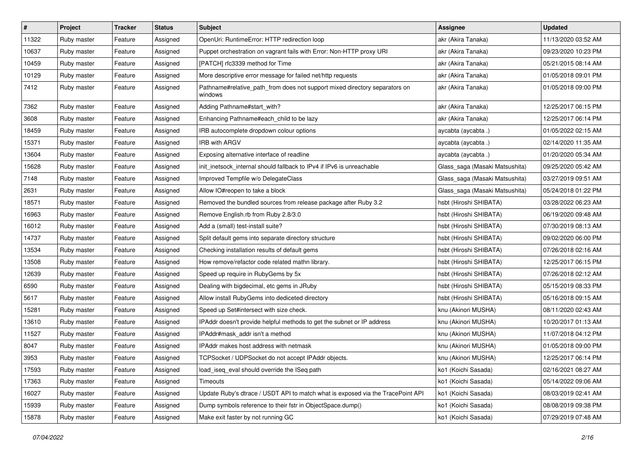| #     | Project     | <b>Tracker</b> | <b>Status</b> | <b>Subject</b>                                                                        | Assignee                       | <b>Updated</b>      |
|-------|-------------|----------------|---------------|---------------------------------------------------------------------------------------|--------------------------------|---------------------|
| 11322 | Ruby master | Feature        | Assigned      | OpenUri: RuntimeError: HTTP redirection loop                                          | akr (Akira Tanaka)             | 11/13/2020 03:52 AM |
| 10637 | Ruby master | Feature        | Assigned      | Puppet orchestration on vagrant fails with Error: Non-HTTP proxy URI                  | akr (Akira Tanaka)             | 09/23/2020 10:23 PM |
| 10459 | Ruby master | Feature        | Assigned      | [PATCH] rfc3339 method for Time                                                       | akr (Akira Tanaka)             | 05/21/2015 08:14 AM |
| 10129 | Ruby master | Feature        | Assigned      | More descriptive error message for failed net/http requests                           | akr (Akira Tanaka)             | 01/05/2018 09:01 PM |
| 7412  | Ruby master | Feature        | Assigned      | Pathname#relative_path_from does not support mixed directory separators on<br>windows | akr (Akira Tanaka)             | 01/05/2018 09:00 PM |
| 7362  | Ruby master | Feature        | Assigned      | Adding Pathname#start_with?                                                           | akr (Akira Tanaka)             | 12/25/2017 06:15 PM |
| 3608  | Ruby master | Feature        | Assigned      | Enhancing Pathname#each_child to be lazy                                              | akr (Akira Tanaka)             | 12/25/2017 06:14 PM |
| 18459 | Ruby master | Feature        | Assigned      | IRB autocomplete dropdown colour options                                              | aycabta (aycabta.)             | 01/05/2022 02:15 AM |
| 15371 | Ruby master | Feature        | Assigned      | IRB with ARGV                                                                         | aycabta (aycabta.)             | 02/14/2020 11:35 AM |
| 13604 | Ruby master | Feature        | Assigned      | Exposing alternative interface of readline                                            | aycabta (aycabta.)             | 01/20/2020 05:34 AM |
| 15628 | Ruby master | Feature        | Assigned      | init inetsock internal should fallback to IPv4 if IPv6 is unreachable                 | Glass_saga (Masaki Matsushita) | 09/25/2020 05:42 AM |
| 7148  | Ruby master | Feature        | Assigned      | Improved Tempfile w/o DelegateClass                                                   | Glass_saga (Masaki Matsushita) | 03/27/2019 09:51 AM |
| 2631  | Ruby master | Feature        | Assigned      | Allow IO#reopen to take a block                                                       | Glass_saga (Masaki Matsushita) | 05/24/2018 01:22 PM |
| 18571 | Ruby master | Feature        | Assigned      | Removed the bundled sources from release package after Ruby 3.2                       | hsbt (Hiroshi SHIBATA)         | 03/28/2022 06:23 AM |
| 16963 | Ruby master | Feature        | Assigned      | Remove English.rb from Ruby 2.8/3.0                                                   | hsbt (Hiroshi SHIBATA)         | 06/19/2020 09:48 AM |
| 16012 | Ruby master | Feature        | Assigned      | Add a (small) test-install suite?                                                     | hsbt (Hiroshi SHIBATA)         | 07/30/2019 08:13 AM |
| 14737 | Ruby master | Feature        | Assigned      | Split default gems into separate directory structure                                  | hsbt (Hiroshi SHIBATA)         | 09/02/2020 06:00 PM |
| 13534 | Ruby master | Feature        | Assigned      | Checking installation results of default gems                                         | hsbt (Hiroshi SHIBATA)         | 07/26/2018 02:16 AM |
| 13508 | Ruby master | Feature        | Assigned      | How remove/refactor code related mathn library.                                       | hsbt (Hiroshi SHIBATA)         | 12/25/2017 06:15 PM |
| 12639 | Ruby master | Feature        | Assigned      | Speed up require in RubyGems by 5x                                                    | hsbt (Hiroshi SHIBATA)         | 07/26/2018 02:12 AM |
| 6590  | Ruby master | Feature        | Assigned      | Dealing with bigdecimal, etc gems in JRuby                                            | hsbt (Hiroshi SHIBATA)         | 05/15/2019 08:33 PM |
| 5617  | Ruby master | Feature        | Assigned      | Allow install RubyGems into dediceted directory                                       | hsbt (Hiroshi SHIBATA)         | 05/16/2018 09:15 AM |
| 15281 | Ruby master | Feature        | Assigned      | Speed up Set#intersect with size check.                                               | knu (Akinori MUSHA)            | 08/11/2020 02:43 AM |
| 13610 | Ruby master | Feature        | Assigned      | IPAddr doesn't provide helpful methods to get the subnet or IP address                | knu (Akinori MUSHA)            | 10/20/2017 01:13 AM |
| 11527 | Ruby master | Feature        | Assigned      | IPAddr#mask_addr isn't a method                                                       | knu (Akinori MUSHA)            | 11/07/2018 04:12 PM |
| 8047  | Ruby master | Feature        | Assigned      | IPAddr makes host address with netmask                                                | knu (Akinori MUSHA)            | 01/05/2018 09:00 PM |
| 3953  | Ruby master | Feature        | Assigned      | TCPSocket / UDPSocket do not accept IPAddr objects.                                   | knu (Akinori MUSHA)            | 12/25/2017 06:14 PM |
| 17593 | Ruby master | Feature        | Assigned      | load_iseq_eval should override the ISeq path                                          | ko1 (Koichi Sasada)            | 02/16/2021 08:27 AM |
| 17363 | Ruby master | Feature        | Assigned      | Timeouts                                                                              | ko1 (Koichi Sasada)            | 05/14/2022 09:06 AM |
| 16027 | Ruby master | Feature        | Assigned      | Update Ruby's dtrace / USDT API to match what is exposed via the TracePoint API       | ko1 (Koichi Sasada)            | 08/03/2019 02:41 AM |
| 15939 | Ruby master | Feature        | Assigned      | Dump symbols reference to their fstr in ObjectSpace.dump()                            | ko1 (Koichi Sasada)            | 08/08/2019 09:38 PM |
| 15878 | Ruby master | Feature        | Assigned      | Make exit faster by not running GC                                                    | ko1 (Koichi Sasada)            | 07/29/2019 07:48 AM |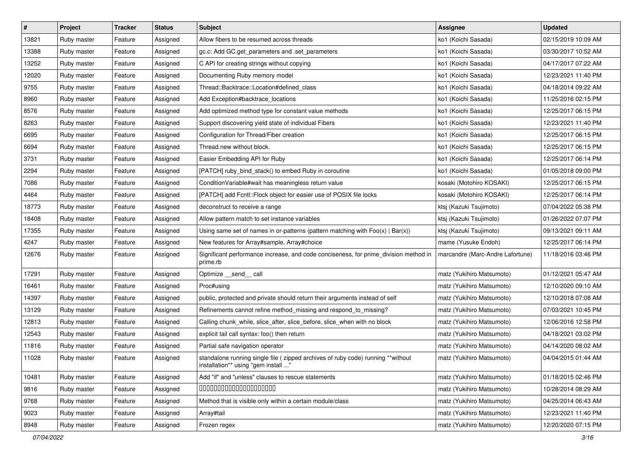| $\vert$ # | Project     | <b>Tracker</b> | <b>Status</b> | <b>Subject</b>                                                                                                          | Assignee                         | <b>Updated</b>      |
|-----------|-------------|----------------|---------------|-------------------------------------------------------------------------------------------------------------------------|----------------------------------|---------------------|
| 13821     | Ruby master | Feature        | Assigned      | Allow fibers to be resumed across threads                                                                               | ko1 (Koichi Sasada)              | 02/15/2019 10:09 AM |
| 13388     | Ruby master | Feature        | Assigned      | gc.c: Add GC.get_parameters and .set_parameters                                                                         | ko1 (Koichi Sasada)              | 03/30/2017 10:52 AM |
| 13252     | Ruby master | Feature        | Assigned      | C API for creating strings without copying                                                                              | ko1 (Koichi Sasada)              | 04/17/2017 07:22 AM |
| 12020     | Ruby master | Feature        | Assigned      | Documenting Ruby memory model                                                                                           | ko1 (Koichi Sasada)              | 12/23/2021 11:40 PM |
| 9755      | Ruby master | Feature        | Assigned      | Thread::Backtrace::Location#defined_class                                                                               | ko1 (Koichi Sasada)              | 04/18/2014 09:22 AM |
| 8960      | Ruby master | Feature        | Assigned      | Add Exception#backtrace_locations                                                                                       | ko1 (Koichi Sasada)              | 11/25/2016 02:15 PM |
| 8576      | Ruby master | Feature        | Assigned      | Add optimized method type for constant value methods                                                                    | ko1 (Koichi Sasada)              | 12/25/2017 06:15 PM |
| 8263      | Ruby master | Feature        | Assigned      | Support discovering yield state of individual Fibers                                                                    | ko1 (Koichi Sasada)              | 12/23/2021 11:40 PM |
| 6695      | Ruby master | Feature        | Assigned      | Configuration for Thread/Fiber creation                                                                                 | ko1 (Koichi Sasada)              | 12/25/2017 06:15 PM |
| 6694      | Ruby master | Feature        | Assigned      | Thread.new without block.                                                                                               | ko1 (Koichi Sasada)              | 12/25/2017 06:15 PM |
| 3731      | Ruby master | Feature        | Assigned      | Easier Embedding API for Ruby                                                                                           | ko1 (Koichi Sasada)              | 12/25/2017 06:14 PM |
| 2294      | Ruby master | Feature        | Assigned      | [PATCH] ruby_bind_stack() to embed Ruby in coroutine                                                                    | ko1 (Koichi Sasada)              | 01/05/2018 09:00 PM |
| 7086      | Ruby master | Feature        | Assigned      | ConditionVariable#wait has meaningless return value                                                                     | kosaki (Motohiro KOSAKI)         | 12/25/2017 06:15 PM |
| 4464      | Ruby master | Feature        | Assigned      | [PATCH] add Fcntl:: Flock object for easier use of POSIX file locks                                                     | kosaki (Motohiro KOSAKI)         | 12/25/2017 06:14 PM |
| 18773     | Ruby master | Feature        | Assigned      | deconstruct to receive a range                                                                                          | ktsj (Kazuki Tsujimoto)          | 07/04/2022 05:38 PM |
| 18408     | Ruby master | Feature        | Assigned      | Allow pattern match to set instance variables                                                                           | ktsj (Kazuki Tsujimoto)          | 01/26/2022 07:07 PM |
| 17355     | Ruby master | Feature        | Assigned      | Using same set of names in or-patterns (pattern matching with $Foo(x)   Bar(x)$ )                                       | ktsj (Kazuki Tsujimoto)          | 09/13/2021 09:11 AM |
| 4247      | Ruby master | Feature        | Assigned      | New features for Array#sample, Array#choice                                                                             | mame (Yusuke Endoh)              | 12/25/2017 06:14 PM |
| 12676     | Ruby master | Feature        | Assigned      | Significant performance increase, and code conciseness, for prime_division method in<br>prime.rb                        | marcandre (Marc-Andre Lafortune) | 11/18/2016 03:46 PM |
| 17291     | Ruby master | Feature        | Assigned      | Optimize __send__ call                                                                                                  | matz (Yukihiro Matsumoto)        | 01/12/2021 05:47 AM |
| 16461     | Ruby master | Feature        | Assigned      | Proc#using                                                                                                              | matz (Yukihiro Matsumoto)        | 12/10/2020 09:10 AM |
| 14397     | Ruby master | Feature        | Assigned      | public, protected and private should return their arguments instead of self                                             | matz (Yukihiro Matsumoto)        | 12/10/2018 07:08 AM |
| 13129     | Ruby master | Feature        | Assigned      | Refinements cannot refine method_missing and respond_to_missing?                                                        | matz (Yukihiro Matsumoto)        | 07/03/2021 10:45 PM |
| 12813     | Ruby master | Feature        | Assigned      | Calling chunk_while, slice_after, slice_before, slice_when with no block                                                | matz (Yukihiro Matsumoto)        | 12/06/2016 12:58 PM |
| 12543     | Ruby master | Feature        | Assigned      | explicit tail call syntax: foo() then return                                                                            | matz (Yukihiro Matsumoto)        | 04/18/2021 03:02 PM |
| 11816     | Ruby master | Feature        | Assigned      | Partial safe navigation operator                                                                                        | matz (Yukihiro Matsumoto)        | 04/14/2020 08:02 AM |
| 11028     | Ruby master | Feature        | Assigned      | standalone running single file ( zipped archives of ruby code) running **without<br>installation** using "gem install " | matz (Yukihiro Matsumoto)        | 04/04/2015 01:44 AM |
| 10481     | Ruby master | Feature        | Assigned      | Add "if" and "unless" clauses to rescue statements                                                                      | matz (Yukihiro Matsumoto)        | 01/18/2015 02:46 PM |
| 9816      | Ruby master | Feature        | Assigned      | 00000000000000000000                                                                                                    | matz (Yukihiro Matsumoto)        | 10/28/2014 08:29 AM |
| 9768      | Ruby master | Feature        | Assigned      | Method that is visible only within a certain module/class                                                               | matz (Yukihiro Matsumoto)        | 04/25/2014 06:43 AM |
| 9023      | Ruby master | Feature        | Assigned      | Array#tail                                                                                                              | matz (Yukihiro Matsumoto)        | 12/23/2021 11:40 PM |
| 8948      | Ruby master | Feature        | Assigned      | Frozen regex                                                                                                            | matz (Yukihiro Matsumoto)        | 12/20/2020 07:15 PM |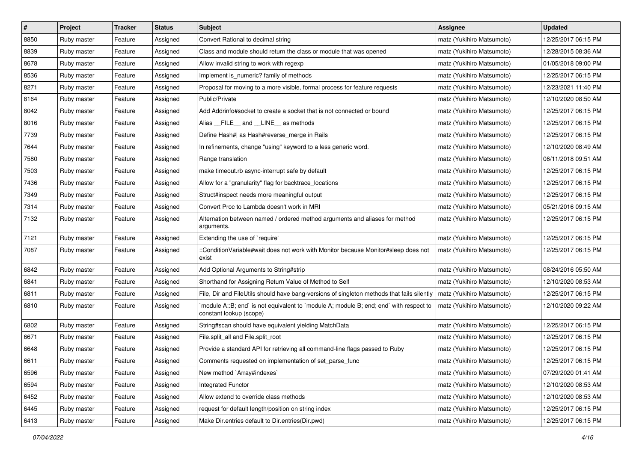| $\vert$ # | Project     | <b>Tracker</b> | <b>Status</b> | <b>Subject</b>                                                                                                   | Assignee                  | <b>Updated</b>      |
|-----------|-------------|----------------|---------------|------------------------------------------------------------------------------------------------------------------|---------------------------|---------------------|
| 8850      | Ruby master | Feature        | Assigned      | Convert Rational to decimal string                                                                               | matz (Yukihiro Matsumoto) | 12/25/2017 06:15 PM |
| 8839      | Ruby master | Feature        | Assigned      | Class and module should return the class or module that was opened                                               | matz (Yukihiro Matsumoto) | 12/28/2015 08:36 AM |
| 8678      | Ruby master | Feature        | Assigned      | Allow invalid string to work with regexp                                                                         | matz (Yukihiro Matsumoto) | 01/05/2018 09:00 PM |
| 8536      | Ruby master | Feature        | Assigned      | Implement is_numeric? family of methods                                                                          | matz (Yukihiro Matsumoto) | 12/25/2017 06:15 PM |
| 8271      | Ruby master | Feature        | Assigned      | Proposal for moving to a more visible, formal process for feature requests                                       | matz (Yukihiro Matsumoto) | 12/23/2021 11:40 PM |
| 8164      | Ruby master | Feature        | Assigned      | Public/Private                                                                                                   | matz (Yukihiro Matsumoto) | 12/10/2020 08:50 AM |
| 8042      | Ruby master | Feature        | Assigned      | Add Addrinfo#socket to create a socket that is not connected or bound                                            | matz (Yukihiro Matsumoto) | 12/25/2017 06:15 PM |
| 8016      | Ruby master | Feature        | Assigned      | Alias __FILE__ and __LINE__ as methods                                                                           | matz (Yukihiro Matsumoto) | 12/25/2017 06:15 PM |
| 7739      | Ruby master | Feature        | Assigned      | Define Hash#  as Hash#reverse_merge in Rails                                                                     | matz (Yukihiro Matsumoto) | 12/25/2017 06:15 PM |
| 7644      | Ruby master | Feature        | Assigned      | In refinements, change "using" keyword to a less generic word.                                                   | matz (Yukihiro Matsumoto) | 12/10/2020 08:49 AM |
| 7580      | Ruby master | Feature        | Assigned      | Range translation                                                                                                | matz (Yukihiro Matsumoto) | 06/11/2018 09:51 AM |
| 7503      | Ruby master | Feature        | Assigned      | make timeout.rb async-interrupt safe by default                                                                  | matz (Yukihiro Matsumoto) | 12/25/2017 06:15 PM |
| 7436      | Ruby master | Feature        | Assigned      | Allow for a "granularity" flag for backtrace_locations                                                           | matz (Yukihiro Matsumoto) | 12/25/2017 06:15 PM |
| 7349      | Ruby master | Feature        | Assigned      | Struct#inspect needs more meaningful output                                                                      | matz (Yukihiro Matsumoto) | 12/25/2017 06:15 PM |
| 7314      | Ruby master | Feature        | Assigned      | Convert Proc to Lambda doesn't work in MRI                                                                       | matz (Yukihiro Matsumoto) | 05/21/2016 09:15 AM |
| 7132      | Ruby master | Feature        | Assigned      | Alternation between named / ordered method arguments and aliases for method<br>arguments.                        | matz (Yukihiro Matsumoto) | 12/25/2017 06:15 PM |
| 7121      | Ruby master | Feature        | Assigned      | Extending the use of `require'                                                                                   | matz (Yukihiro Matsumoto) | 12/25/2017 06:15 PM |
| 7087      | Ruby master | Feature        | Assigned      | ::ConditionVariable#wait does not work with Monitor because Monitor#sleep does not<br>exist                      | matz (Yukihiro Matsumoto) | 12/25/2017 06:15 PM |
| 6842      | Ruby master | Feature        | Assigned      | Add Optional Arguments to String#strip                                                                           | matz (Yukihiro Matsumoto) | 08/24/2016 05:50 AM |
| 6841      | Ruby master | Feature        | Assigned      | Shorthand for Assigning Return Value of Method to Self                                                           | matz (Yukihiro Matsumoto) | 12/10/2020 08:53 AM |
| 6811      | Ruby master | Feature        | Assigned      | File, Dir and FileUtils should have bang-versions of singleton methods that fails silently                       | matz (Yukihiro Matsumoto) | 12/25/2017 06:15 PM |
| 6810      | Ruby master | Feature        | Assigned      | module A::B; end` is not equivalent to `module A; module B; end; end` with respect to<br>constant lookup (scope) | matz (Yukihiro Matsumoto) | 12/10/2020 09:22 AM |
| 6802      | Ruby master | Feature        | Assigned      | String#scan should have equivalent yielding MatchData                                                            | matz (Yukihiro Matsumoto) | 12/25/2017 06:15 PM |
| 6671      | Ruby master | Feature        | Assigned      | File.split_all and File.split_root                                                                               | matz (Yukihiro Matsumoto) | 12/25/2017 06:15 PM |
| 6648      | Ruby master | Feature        | Assigned      | Provide a standard API for retrieving all command-line flags passed to Ruby                                      | matz (Yukihiro Matsumoto) | 12/25/2017 06:15 PM |
| 6611      | Ruby master | Feature        | Assigned      | Comments requested on implementation of set_parse_func                                                           | matz (Yukihiro Matsumoto) | 12/25/2017 06:15 PM |
| 6596      | Ruby master | Feature        | Assigned      | New method `Array#indexes`                                                                                       | matz (Yukihiro Matsumoto) | 07/29/2020 01:41 AM |
| 6594      | Ruby master | Feature        | Assigned      | Integrated Functor                                                                                               | matz (Yukihiro Matsumoto) | 12/10/2020 08:53 AM |
| 6452      | Ruby master | Feature        | Assigned      | Allow extend to override class methods                                                                           | matz (Yukihiro Matsumoto) | 12/10/2020 08:53 AM |
| 6445      | Ruby master | Feature        | Assigned      | request for default length/position on string index                                                              | matz (Yukihiro Matsumoto) | 12/25/2017 06:15 PM |
| 6413      | Ruby master | Feature        | Assigned      | Make Dir.entries default to Dir.entries(Dir.pwd)                                                                 | matz (Yukihiro Matsumoto) | 12/25/2017 06:15 PM |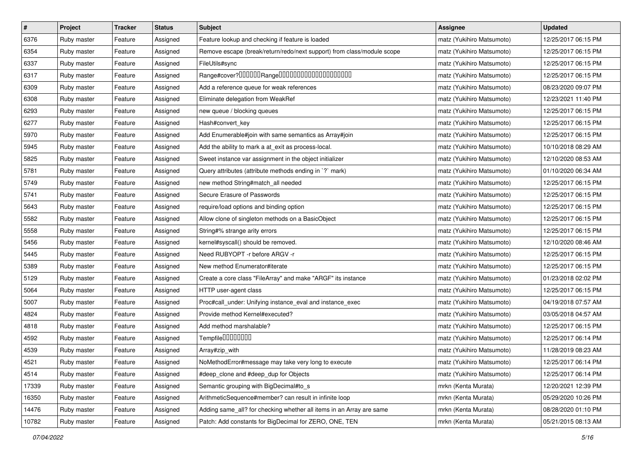| $\vert$ # | Project     | <b>Tracker</b> | <b>Status</b> | <b>Subject</b>                                                         | <b>Assignee</b>           | <b>Updated</b>      |
|-----------|-------------|----------------|---------------|------------------------------------------------------------------------|---------------------------|---------------------|
| 6376      | Ruby master | Feature        | Assigned      | Feature lookup and checking if feature is loaded                       | matz (Yukihiro Matsumoto) | 12/25/2017 06:15 PM |
| 6354      | Ruby master | Feature        | Assigned      | Remove escape (break/return/redo/next support) from class/module scope | matz (Yukihiro Matsumoto) | 12/25/2017 06:15 PM |
| 6337      | Ruby master | Feature        | Assigned      | FileUtils#sync                                                         | matz (Yukihiro Matsumoto) | 12/25/2017 06:15 PM |
| 6317      | Ruby master | Feature        | Assigned      | Range#cover?000000Range00000000000000000000                            | matz (Yukihiro Matsumoto) | 12/25/2017 06:15 PM |
| 6309      | Ruby master | Feature        | Assigned      | Add a reference queue for weak references                              | matz (Yukihiro Matsumoto) | 08/23/2020 09:07 PM |
| 6308      | Ruby master | Feature        | Assigned      | Eliminate delegation from WeakRef                                      | matz (Yukihiro Matsumoto) | 12/23/2021 11:40 PM |
| 6293      | Ruby master | Feature        | Assigned      | new queue / blocking queues                                            | matz (Yukihiro Matsumoto) | 12/25/2017 06:15 PM |
| 6277      | Ruby master | Feature        | Assigned      | Hash#convert key                                                       | matz (Yukihiro Matsumoto) | 12/25/2017 06:15 PM |
| 5970      | Ruby master | Feature        | Assigned      | Add Enumerable#join with same semantics as Array#join                  | matz (Yukihiro Matsumoto) | 12/25/2017 06:15 PM |
| 5945      | Ruby master | Feature        | Assigned      | Add the ability to mark a at_exit as process-local.                    | matz (Yukihiro Matsumoto) | 10/10/2018 08:29 AM |
| 5825      | Ruby master | Feature        | Assigned      | Sweet instance var assignment in the object initializer                | matz (Yukihiro Matsumoto) | 12/10/2020 08:53 AM |
| 5781      | Ruby master | Feature        | Assigned      | Query attributes (attribute methods ending in `?` mark)                | matz (Yukihiro Matsumoto) | 01/10/2020 06:34 AM |
| 5749      | Ruby master | Feature        | Assigned      | new method String#match_all needed                                     | matz (Yukihiro Matsumoto) | 12/25/2017 06:15 PM |
| 5741      | Ruby master | Feature        | Assigned      | Secure Erasure of Passwords                                            | matz (Yukihiro Matsumoto) | 12/25/2017 06:15 PM |
| 5643      | Ruby master | Feature        | Assigned      | require/load options and binding option                                | matz (Yukihiro Matsumoto) | 12/25/2017 06:15 PM |
| 5582      | Ruby master | Feature        | Assigned      | Allow clone of singleton methods on a BasicObject                      | matz (Yukihiro Matsumoto) | 12/25/2017 06:15 PM |
| 5558      | Ruby master | Feature        | Assigned      | String#% strange arity errors                                          | matz (Yukihiro Matsumoto) | 12/25/2017 06:15 PM |
| 5456      | Ruby master | Feature        | Assigned      | kernel#syscall() should be removed.                                    | matz (Yukihiro Matsumoto) | 12/10/2020 08:46 AM |
| 5445      | Ruby master | Feature        | Assigned      | Need RUBYOPT - r before ARGV - r                                       | matz (Yukihiro Matsumoto) | 12/25/2017 06:15 PM |
| 5389      | Ruby master | Feature        | Assigned      | New method Enumerator#iterate                                          | matz (Yukihiro Matsumoto) | 12/25/2017 06:15 PM |
| 5129      | Ruby master | Feature        | Assigned      | Create a core class "FileArray" and make "ARGF" its instance           | matz (Yukihiro Matsumoto) | 01/23/2018 02:02 PM |
| 5064      | Ruby master | Feature        | Assigned      | HTTP user-agent class                                                  | matz (Yukihiro Matsumoto) | 12/25/2017 06:15 PM |
| 5007      | Ruby master | Feature        | Assigned      | Proc#call_under: Unifying instance_eval and instance_exec              | matz (Yukihiro Matsumoto) | 04/19/2018 07:57 AM |
| 4824      | Ruby master | Feature        | Assigned      | Provide method Kernel#executed?                                        | matz (Yukihiro Matsumoto) | 03/05/2018 04:57 AM |
| 4818      | Ruby master | Feature        | Assigned      | Add method marshalable?                                                | matz (Yukihiro Matsumoto) | 12/25/2017 06:15 PM |
| 4592      | Ruby master | Feature        | Assigned      | Tempfile0000000                                                        | matz (Yukihiro Matsumoto) | 12/25/2017 06:14 PM |
| 4539      | Ruby master | Feature        | Assigned      | Array#zip_with                                                         | matz (Yukihiro Matsumoto) | 11/28/2019 08:23 AM |
| 4521      | Ruby master | Feature        | Assigned      | NoMethodError#message may take very long to execute                    | matz (Yukihiro Matsumoto) | 12/25/2017 06:14 PM |
| 4514      | Ruby master | Feature        | Assigned      | #deep_clone and #deep_dup for Objects                                  | matz (Yukihiro Matsumoto) | 12/25/2017 06:14 PM |
| 17339     | Ruby master | Feature        | Assigned      | Semantic grouping with BigDecimal#to_s                                 | mrkn (Kenta Murata)       | 12/20/2021 12:39 PM |
| 16350     | Ruby master | Feature        | Assigned      | ArithmeticSequence#member? can result in infinite loop                 | mrkn (Kenta Murata)       | 05/29/2020 10:26 PM |
| 14476     | Ruby master | Feature        | Assigned      | Adding same_all? for checking whether all items in an Array are same   | mrkn (Kenta Murata)       | 08/28/2020 01:10 PM |
| 10782     | Ruby master | Feature        | Assigned      | Patch: Add constants for BigDecimal for ZERO, ONE, TEN                 | mrkn (Kenta Murata)       | 05/21/2015 08:13 AM |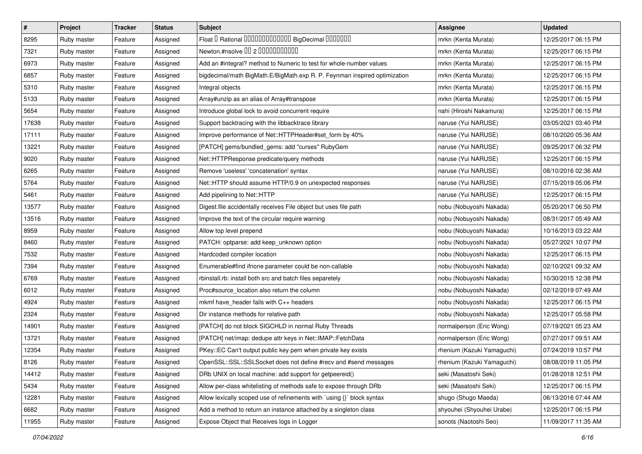| $\vert$ # | Project     | <b>Tracker</b> | <b>Status</b> | <b>Subject</b>                                                            | Assignee                   | <b>Updated</b>      |
|-----------|-------------|----------------|---------------|---------------------------------------------------------------------------|----------------------------|---------------------|
| 8295      | Ruby master | Feature        | Assigned      | Float I Rational IIIIIIIIIIIIIIIIIII BigDecimal IIIIIIIIII                | mrkn (Kenta Murata)        | 12/25/2017 06:15 PM |
| 7321      | Ruby master | Feature        | Assigned      | Newton.#nsolve 00 2 0000000000                                            | mrkn (Kenta Murata)        | 12/25/2017 06:15 PM |
| 6973      | Ruby master | Feature        | Assigned      | Add an #integral? method to Numeric to test for whole-number values       | mrkn (Kenta Murata)        | 12/25/2017 06:15 PM |
| 6857      | Ruby master | Feature        | Assigned      | bigdecimal/math BigMath.E/BigMath.exp R. P. Feynman inspired optimization | mrkn (Kenta Murata)        | 12/25/2017 06:15 PM |
| 5310      | Ruby master | Feature        | Assigned      | Integral objects                                                          | mrkn (Kenta Murata)        | 12/25/2017 06:15 PM |
| 5133      | Ruby master | Feature        | Assigned      | Array#unzip as an alias of Array#transpose                                | mrkn (Kenta Murata)        | 12/25/2017 06:15 PM |
| 5654      | Ruby master | Feature        | Assigned      | Introduce global lock to avoid concurrent require                         | nahi (Hiroshi Nakamura)    | 12/25/2017 06:15 PM |
| 17638     | Ruby master | Feature        | Assigned      | Support backtracing with the libbacktrace library                         | naruse (Yui NARUSE)        | 03/05/2021 03:40 PM |
| 17111     | Ruby master | Feature        | Assigned      | Improve performance of Net::HTTPHeader#set_form by 40%                    | naruse (Yui NARUSE)        | 08/10/2020 05:36 AM |
| 13221     | Ruby master | Feature        | Assigned      | [PATCH] gems/bundled_gems: add "curses" RubyGem                           | naruse (Yui NARUSE)        | 09/25/2017 06:32 PM |
| 9020      | Ruby master | Feature        | Assigned      | Net::HTTPResponse predicate/query methods                                 | naruse (Yui NARUSE)        | 12/25/2017 06:15 PM |
| 6265      | Ruby master | Feature        | Assigned      | Remove 'useless' 'concatenation' syntax                                   | naruse (Yui NARUSE)        | 08/10/2016 02:36 AM |
| 5764      | Ruby master | Feature        | Assigned      | Net::HTTP should assume HTTP/0.9 on unexpected responses                  | naruse (Yui NARUSE)        | 07/15/2019 05:06 PM |
| 5461      | Ruby master | Feature        | Assigned      | Add pipelining to Net::HTTP                                               | naruse (Yui NARUSE)        | 12/25/2017 06:15 PM |
| 13577     | Ruby master | Feature        | Assigned      | Digest file accidentally receives File object but uses file path          | nobu (Nobuyoshi Nakada)    | 05/20/2017 06:50 PM |
| 13516     | Ruby master | Feature        | Assigned      | Improve the text of the circular require warning                          | nobu (Nobuyoshi Nakada)    | 08/31/2017 05:49 AM |
| 8959      | Ruby master | Feature        | Assigned      | Allow top level prepend                                                   | nobu (Nobuyoshi Nakada)    | 10/16/2013 03:22 AM |
| 8460      | Ruby master | Feature        | Assigned      | PATCH: optparse: add keep_unknown option                                  | nobu (Nobuyoshi Nakada)    | 05/27/2021 10:07 PM |
| 7532      | Ruby master | Feature        | Assigned      | Hardcoded compiler location                                               | nobu (Nobuyoshi Nakada)    | 12/25/2017 06:15 PM |
| 7394      | Ruby master | Feature        | Assigned      | Enumerable#find ifnone parameter could be non-callable                    | nobu (Nobuyoshi Nakada)    | 02/10/2021 09:32 AM |
| 6769      | Ruby master | Feature        | Assigned      | rbinstall.rb: install both src and batch files separetely                 | nobu (Nobuyoshi Nakada)    | 10/30/2015 12:38 PM |
| 6012      | Ruby master | Feature        | Assigned      | Proc#source_location also return the column                               | nobu (Nobuyoshi Nakada)    | 02/12/2019 07:49 AM |
| 4924      | Ruby master | Feature        | Assigned      | mkmf have_header fails with C++ headers                                   | nobu (Nobuyoshi Nakada)    | 12/25/2017 06:15 PM |
| 2324      | Ruby master | Feature        | Assigned      | Dir instance methods for relative path                                    | nobu (Nobuyoshi Nakada)    | 12/25/2017 05:58 PM |
| 14901     | Ruby master | Feature        | Assigned      | [PATCH] do not block SIGCHLD in normal Ruby Threads                       | normalperson (Eric Wong)   | 07/19/2021 05:23 AM |
| 13721     | Ruby master | Feature        | Assigned      | [PATCH] net/imap: dedupe attr keys in Net::IMAP::FetchData                | normalperson (Eric Wong)   | 07/27/2017 09:51 AM |
| 12354     | Ruby master | Feature        | Assigned      | PKey::EC Can't output public key pem when private key exists              | rhenium (Kazuki Yamaguchi) | 07/24/2019 10:57 PM |
| 8126      | Ruby master | Feature        | Assigned      | OpenSSL::SSL:SSLSocket does not define #recv and #send messages           | rhenium (Kazuki Yamaguchi) | 08/08/2019 11:05 PM |
| 14412     | Ruby master | Feature        | Assigned      | DRb UNIX on local machine: add support for getpeereid()                   | seki (Masatoshi Seki)      | 01/28/2018 12:51 PM |
| 5434      | Ruby master | Feature        | Assigned      | Allow per-class whitelisting of methods safe to expose through DRb        | seki (Masatoshi Seki)      | 12/25/2017 06:15 PM |
| 12281     | Ruby master | Feature        | Assigned      | Allow lexically scoped use of refinements with 'using {}' block syntax    | shugo (Shugo Maeda)        | 06/13/2016 07:44 AM |
| 6682      | Ruby master | Feature        | Assigned      | Add a method to return an instance attached by a singleton class          | shyouhei (Shyouhei Urabe)  | 12/25/2017 06:15 PM |
| 11955     | Ruby master | Feature        | Assigned      | Expose Object that Receives logs in Logger                                | sonots (Naotoshi Seo)      | 11/09/2017 11:35 AM |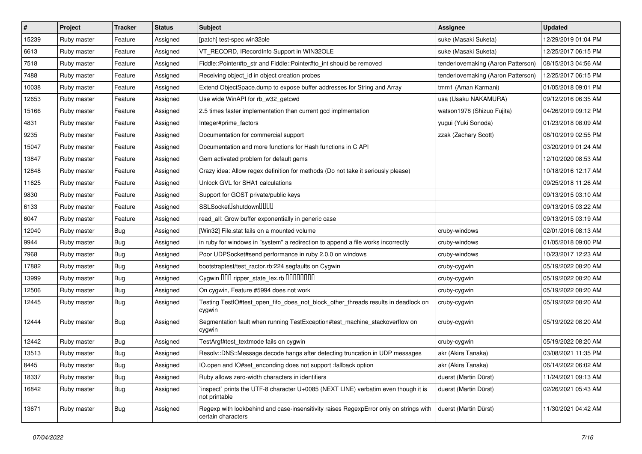| $\vert$ # | Project     | <b>Tracker</b> | <b>Status</b> | <b>Subject</b>                                                                                              | <b>Assignee</b>                    | <b>Updated</b>      |
|-----------|-------------|----------------|---------------|-------------------------------------------------------------------------------------------------------------|------------------------------------|---------------------|
| 15239     | Ruby master | Feature        | Assigned      | [patch] test-spec win32ole                                                                                  | suke (Masaki Suketa)               | 12/29/2019 01:04 PM |
| 6613      | Ruby master | Feature        | Assigned      | VT_RECORD, IRecordInfo Support in WIN32OLE                                                                  | suke (Masaki Suketa)               | 12/25/2017 06:15 PM |
| 7518      | Ruby master | Feature        | Assigned      | Fiddle::Pointer#to_str and Fiddle::Pointer#to_int should be removed                                         | tenderlovemaking (Aaron Patterson) | 08/15/2013 04:56 AM |
| 7488      | Ruby master | Feature        | Assigned      | Receiving object_id in object creation probes                                                               | tenderlovemaking (Aaron Patterson) | 12/25/2017 06:15 PM |
| 10038     | Ruby master | Feature        | Assigned      | Extend ObjectSpace.dump to expose buffer addresses for String and Array                                     | tmm1 (Aman Karmani)                | 01/05/2018 09:01 PM |
| 12653     | Ruby master | Feature        | Assigned      | Use wide WinAPI for rb_w32_getcwd                                                                           | usa (Usaku NAKAMURA)               | 09/12/2016 06:35 AM |
| 15166     | Ruby master | Feature        | Assigned      | 2.5 times faster implementation than current gcd implmentation                                              | watson1978 (Shizuo Fujita)         | 04/26/2019 09:12 PM |
| 4831      | Ruby master | Feature        | Assigned      | Integer#prime_factors                                                                                       | yugui (Yuki Sonoda)                | 01/23/2018 08:09 AM |
| 9235      | Ruby master | Feature        | Assigned      | Documentation for commercial support                                                                        | zzak (Zachary Scott)               | 08/10/2019 02:55 PM |
| 15047     | Ruby master | Feature        | Assigned      | Documentation and more functions for Hash functions in C API                                                |                                    | 03/20/2019 01:24 AM |
| 13847     | Ruby master | Feature        | Assigned      | Gem activated problem for default gems                                                                      |                                    | 12/10/2020 08:53 AM |
| 12848     | Ruby master | Feature        | Assigned      | Crazy idea: Allow regex definition for methods (Do not take it seriously please)                            |                                    | 10/18/2016 12:17 AM |
| 11625     | Ruby master | Feature        | Assigned      | Unlock GVL for SHA1 calculations                                                                            |                                    | 09/25/2018 11:26 AM |
| 9830      | Ruby master | Feature        | Assigned      | Support for GOST private/public keys                                                                        |                                    | 09/13/2015 03:10 AM |
| 6133      | Ruby master | Feature        | Assigned      | SSLSocket <sup>[</sup> shutdown <sup>[11]</sup>                                                             |                                    | 09/13/2015 03:22 AM |
| 6047      | Ruby master | Feature        | Assigned      | read_all: Grow buffer exponentially in generic case                                                         |                                    | 09/13/2015 03:19 AM |
| 12040     | Ruby master | Bug            | Assigned      | [Win32] File.stat fails on a mounted volume                                                                 | cruby-windows                      | 02/01/2016 08:13 AM |
| 9944      | Ruby master | <b>Bug</b>     | Assigned      | in ruby for windows in "system" a redirection to append a file works incorrectly                            | cruby-windows                      | 01/05/2018 09:00 PM |
| 7968      | Ruby master | Bug            | Assigned      | Poor UDPSocket#send performance in ruby 2.0.0 on windows                                                    | cruby-windows                      | 10/23/2017 12:23 AM |
| 17882     | Ruby master | Bug            | Assigned      | bootstraptest/test_ractor.rb:224 segfaults on Cygwin                                                        | cruby-cygwin                       | 05/19/2022 08:20 AM |
| 13999     | Ruby master | <b>Bug</b>     | Assigned      | Cygwin DDD ripper_state_lex.rb DDDDDDD                                                                      | cruby-cygwin                       | 05/19/2022 08:20 AM |
| 12506     | Ruby master | <b>Bug</b>     | Assigned      | On cygwin, Feature #5994 does not work                                                                      | cruby-cygwin                       | 05/19/2022 08:20 AM |
| 12445     | Ruby master | <b>Bug</b>     | Assigned      | Testing TestlO#test_open_fifo_does_not_block_other_threads results in deadlock on<br>cygwin                 | cruby-cygwin                       | 05/19/2022 08:20 AM |
| 12444     | Ruby master | Bug            | Assigned      | Segmentation fault when running TestException#test_machine_stackoverflow on<br>cygwin                       | cruby-cygwin                       | 05/19/2022 08:20 AM |
| 12442     | Ruby master | Bug            | Assigned      | TestArgf#test_textmode fails on cygwin                                                                      | cruby-cygwin                       | 05/19/2022 08:20 AM |
| 13513     | Ruby master | <b>Bug</b>     | Assigned      | Resolv::DNS::Message.decode hangs after detecting truncation in UDP messages                                | akr (Akira Tanaka)                 | 03/08/2021 11:35 PM |
| 8445      | Ruby master | Bug            | Assigned      | IO.open and IO#set_enconding does not support :fallback option                                              | akr (Akira Tanaka)                 | 06/14/2022 06:02 AM |
| 18337     | Ruby master | <b>Bug</b>     | Assigned      | Ruby allows zero-width characters in identifiers                                                            | duerst (Martin Dürst)              | 11/24/2021 09:13 AM |
| 16842     | Ruby master | <b>Bug</b>     | Assigned      | 'inspect' prints the UTF-8 character U+0085 (NEXT LINE) verbatim even though it is<br>not printable         | duerst (Martin Dürst)              | 02/26/2021 05:43 AM |
| 13671     | Ruby master | Bug            | Assigned      | Regexp with lookbehind and case-insensitivity raises RegexpError only on strings with<br>certain characters | duerst (Martin Dürst)              | 11/30/2021 04:42 AM |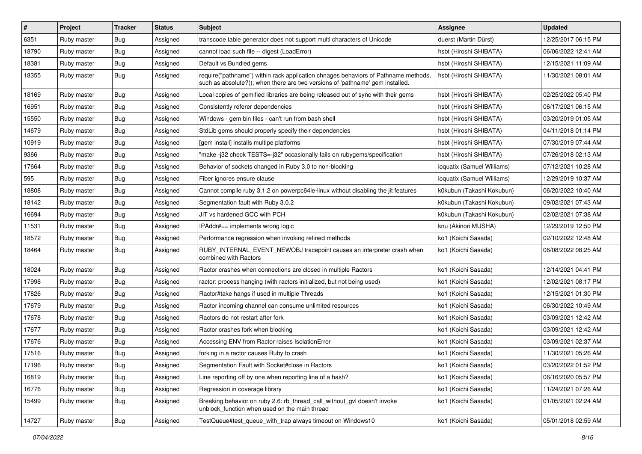| #     | Project     | <b>Tracker</b> | <b>Status</b> | <b>Subject</b>                                                                                                                                                      | Assignee                   | <b>Updated</b>      |
|-------|-------------|----------------|---------------|---------------------------------------------------------------------------------------------------------------------------------------------------------------------|----------------------------|---------------------|
| 6351  | Ruby master | <b>Bug</b>     | Assigned      | transcode table generator does not support multi characters of Unicode                                                                                              | duerst (Martin Dürst)      | 12/25/2017 06:15 PM |
| 18790 | Ruby master | <b>Bug</b>     | Assigned      | cannot load such file -- digest (LoadError)                                                                                                                         | hsbt (Hiroshi SHIBATA)     | 06/06/2022 12:41 AM |
| 18381 | Ruby master | Bug            | Assigned      | Default vs Bundled gems                                                                                                                                             | hsbt (Hiroshi SHIBATA)     | 12/15/2021 11:09 AM |
| 18355 | Ruby master | Bug            | Assigned      | require("pathname") within rack application chnages behaviors of Pathname methods,<br>such as absolute?(), when there are two versions of 'pathname' gem installed. | hsbt (Hiroshi SHIBATA)     | 11/30/2021 08:01 AM |
| 18169 | Ruby master | Bug            | Assigned      | Local copies of gemified libraries are being released out of sync with their gems                                                                                   | hsbt (Hiroshi SHIBATA)     | 02/25/2022 05:40 PM |
| 16951 | Ruby master | Bug            | Assigned      | Consistently referer dependencies                                                                                                                                   | hsbt (Hiroshi SHIBATA)     | 06/17/2021 06:15 AM |
| 15550 | Ruby master | Bug            | Assigned      | Windows - gem bin files - can't run from bash shell                                                                                                                 | hsbt (Hiroshi SHIBATA)     | 03/20/2019 01:05 AM |
| 14679 | Ruby master | <b>Bug</b>     | Assigned      | StdLib gems should properly specify their dependencies                                                                                                              | hsbt (Hiroshi SHIBATA)     | 04/11/2018 01:14 PM |
| 10919 | Ruby master | Bug            | Assigned      | [gem install] installs multipe platforms                                                                                                                            | hsbt (Hiroshi SHIBATA)     | 07/30/2019 07:44 AM |
| 9366  | Ruby master | <b>Bug</b>     | Assigned      | "make-j32 check TESTS=-j32" occasionally fails on rubygems/specification                                                                                            | hsbt (Hiroshi SHIBATA)     | 07/26/2018 02:13 AM |
| 17664 | Ruby master | Bug            | Assigned      | Behavior of sockets changed in Ruby 3.0 to non-blocking                                                                                                             | ioquatix (Samuel Williams) | 07/12/2021 10:28 AM |
| 595   | Ruby master | <b>Bug</b>     | Assigned      | Fiber ignores ensure clause                                                                                                                                         | ioquatix (Samuel Williams) | 12/29/2019 10:37 AM |
| 18808 | Ruby master | <b>Bug</b>     | Assigned      | Cannot compile ruby 3.1.2 on powerpc64le-linux without disabling the jit features                                                                                   | k0kubun (Takashi Kokubun)  | 06/20/2022 10:40 AM |
| 18142 | Ruby master | <b>Bug</b>     | Assigned      | Segmentation fault with Ruby 3.0.2                                                                                                                                  | k0kubun (Takashi Kokubun)  | 09/02/2021 07:43 AM |
| 16694 | Ruby master | Bug            | Assigned      | JIT vs hardened GCC with PCH                                                                                                                                        | k0kubun (Takashi Kokubun)  | 02/02/2021 07:38 AM |
| 11531 | Ruby master | Bug            | Assigned      | IPAddr#== implements wrong logic                                                                                                                                    | knu (Akinori MUSHA)        | 12/29/2019 12:50 PM |
| 18572 | Ruby master | Bug            | Assigned      | Performance regression when invoking refined methods                                                                                                                | ko1 (Koichi Sasada)        | 02/10/2022 12:48 AM |
| 18464 | Ruby master | Bug            | Assigned      | RUBY_INTERNAL_EVENT_NEWOBJ tracepoint causes an interpreter crash when<br>combined with Ractors                                                                     | ko1 (Koichi Sasada)        | 06/08/2022 08:25 AM |
| 18024 | Ruby master | Bug            | Assigned      | Ractor crashes when connections are closed in multiple Ractors                                                                                                      | ko1 (Koichi Sasada)        | 12/14/2021 04:41 PM |
| 17998 | Ruby master | <b>Bug</b>     | Assigned      | ractor: process hanging (with ractors initialized, but not being used)                                                                                              | ko1 (Koichi Sasada)        | 12/02/2021 08:17 PM |
| 17826 | Ruby master | Bug            | Assigned      | Ractor#take hangs if used in multiple Threads                                                                                                                       | ko1 (Koichi Sasada)        | 12/15/2021 01:30 PM |
| 17679 | Ruby master | Bug            | Assigned      | Ractor incoming channel can consume unlimited resources                                                                                                             | ko1 (Koichi Sasada)        | 06/30/2022 10:49 AM |
| 17678 | Ruby master | Bug            | Assigned      | Ractors do not restart after fork                                                                                                                                   | ko1 (Koichi Sasada)        | 03/09/2021 12:42 AM |
| 17677 | Ruby master | i Bug          | Assigned      | Ractor crashes fork when blocking                                                                                                                                   | ko1 (Koichi Sasada)        | 03/09/2021 12:42 AM |
| 17676 | Ruby master | <b>Bug</b>     | Assigned      | Accessing ENV from Ractor raises IsolationError                                                                                                                     | ko1 (Koichi Sasada)        | 03/09/2021 02:37 AM |
| 17516 | Ruby master | Bug            | Assigned      | forking in a ractor causes Ruby to crash                                                                                                                            | ko1 (Koichi Sasada)        | 11/30/2021 05:26 AM |
| 17196 | Ruby master | Bug            | Assigned      | Segmentation Fault with Socket#close in Ractors                                                                                                                     | ko1 (Koichi Sasada)        | 03/20/2022 01:52 PM |
| 16819 | Ruby master | Bug            | Assigned      | Line reporting off by one when reporting line of a hash?                                                                                                            | ko1 (Koichi Sasada)        | 06/16/2020 05:57 PM |
| 16776 | Ruby master | <b>Bug</b>     | Assigned      | Regression in coverage library                                                                                                                                      | ko1 (Koichi Sasada)        | 11/24/2021 07:26 AM |
| 15499 | Ruby master | Bug            | Assigned      | Breaking behavior on ruby 2.6: rb thread call without gyl doesn't invoke<br>unblock_function when used on the main thread                                           | ko1 (Koichi Sasada)        | 01/05/2021 02:24 AM |
| 14727 | Ruby master | Bug            | Assigned      | TestQueue#test_queue_with_trap always timeout on Windows10                                                                                                          | ko1 (Koichi Sasada)        | 05/01/2018 02:59 AM |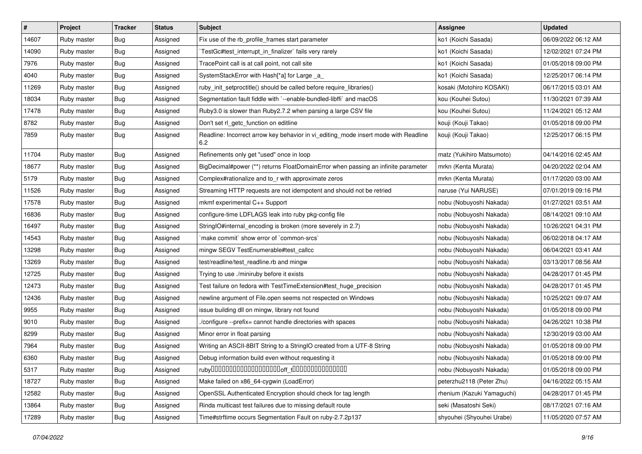| #     | Project     | <b>Tracker</b> | <b>Status</b> | Subject                                                                                    | <b>Assignee</b>            | <b>Updated</b>      |
|-------|-------------|----------------|---------------|--------------------------------------------------------------------------------------------|----------------------------|---------------------|
| 14607 | Ruby master | <b>Bug</b>     | Assigned      | Fix use of the rb_profile_frames start parameter                                           | ko1 (Koichi Sasada)        | 06/09/2022 06:12 AM |
| 14090 | Ruby master | <b>Bug</b>     | Assigned      | TestGc#test_interrupt_in_finalizer` fails very rarely                                      | ko1 (Koichi Sasada)        | 12/02/2021 07:24 PM |
| 7976  | Ruby master | <b>Bug</b>     | Assigned      | TracePoint call is at call point, not call site                                            | ko1 (Koichi Sasada)        | 01/05/2018 09:00 PM |
| 4040  | Ruby master | <b>Bug</b>     | Assigned      | SystemStackError with Hash[*a] for Large _a_                                               | ko1 (Koichi Sasada)        | 12/25/2017 06:14 PM |
| 11269 | Ruby master | <b>Bug</b>     | Assigned      | ruby_init_setproctitle() should be called before require_libraries()                       | kosaki (Motohiro KOSAKI)   | 06/17/2015 03:01 AM |
| 18034 | Ruby master | <b>Bug</b>     | Assigned      | Segmentation fault fiddle with `--enable-bundled-libffi` and macOS                         | kou (Kouhei Sutou)         | 11/30/2021 07:39 AM |
| 17478 | Ruby master | Bug            | Assigned      | Ruby3.0 is slower than Ruby2.7.2 when parsing a large CSV file                             | kou (Kouhei Sutou)         | 11/24/2021 05:12 AM |
| 8782  | Ruby master | <b>Bug</b>     | Assigned      | Don't set rl getc function on editline                                                     | kouji (Kouji Takao)        | 01/05/2018 09:00 PM |
| 7859  | Ruby master | <b>Bug</b>     | Assigned      | Readline: Incorrect arrow key behavior in vi_editing_mode insert mode with Readline<br>6.2 | kouji (Kouji Takao)        | 12/25/2017 06:15 PM |
| 11704 | Ruby master | Bug            | Assigned      | Refinements only get "used" once in loop                                                   | matz (Yukihiro Matsumoto)  | 04/14/2016 02:45 AM |
| 18677 | Ruby master | <b>Bug</b>     | Assigned      | BigDecimal#power (**) returns FloatDomainError when passing an infinite parameter          | mrkn (Kenta Murata)        | 04/20/2022 02:04 AM |
| 5179  | Ruby master | Bug            | Assigned      | Complex#rationalize and to_r with approximate zeros                                        | mrkn (Kenta Murata)        | 01/17/2020 03:00 AM |
| 11526 | Ruby master | <b>Bug</b>     | Assigned      | Streaming HTTP requests are not idempotent and should not be retried                       | naruse (Yui NARUSE)        | 07/01/2019 09:16 PM |
| 17578 | Ruby master | <b>Bug</b>     | Assigned      | mkmf experimental C++ Support                                                              | nobu (Nobuyoshi Nakada)    | 01/27/2021 03:51 AM |
| 16836 | Ruby master | <b>Bug</b>     | Assigned      | configure-time LDFLAGS leak into ruby pkg-config file                                      | nobu (Nobuyoshi Nakada)    | 08/14/2021 09:10 AM |
| 16497 | Ruby master | <b>Bug</b>     | Assigned      | StringIO#internal_encoding is broken (more severely in 2.7)                                | nobu (Nobuyoshi Nakada)    | 10/26/2021 04:31 PM |
| 14543 | Ruby master | Bug            | Assigned      | 'make commit' show error of 'common-srcs'                                                  | nobu (Nobuyoshi Nakada)    | 06/02/2018 04:17 AM |
| 13298 | Ruby master | Bug            | Assigned      | mingw SEGV TestEnumerable#test callcc                                                      | nobu (Nobuyoshi Nakada)    | 06/04/2021 03:41 AM |
| 13269 | Ruby master | Bug            | Assigned      | test/readline/test_readline.rb and mingw                                                   | nobu (Nobuyoshi Nakada)    | 03/13/2017 08:56 AM |
| 12725 | Ruby master | Bug            | Assigned      | Trying to use ./miniruby before it exists                                                  | nobu (Nobuyoshi Nakada)    | 04/28/2017 01:45 PM |
| 12473 | Ruby master | Bug            | Assigned      | Test failure on fedora with TestTimeExtension#test_huge_precision                          | nobu (Nobuyoshi Nakada)    | 04/28/2017 01:45 PM |
| 12436 | Ruby master | <b>Bug</b>     | Assigned      | newline argument of File.open seems not respected on Windows                               | nobu (Nobuyoshi Nakada)    | 10/25/2021 09:07 AM |
| 9955  | Ruby master | Bug            | Assigned      | issue building dll on mingw, library not found                                             | nobu (Nobuyoshi Nakada)    | 01/05/2018 09:00 PM |
| 9010  | Ruby master | Bug            | Assigned      | /configure --prefix= cannot handle directories with spaces                                 | nobu (Nobuyoshi Nakada)    | 04/26/2021 10:38 PM |
| 8299  | Ruby master | <b>Bug</b>     | Assigned      | Minor error in float parsing                                                               | nobu (Nobuyoshi Nakada)    | 12/30/2019 03:00 AM |
| 7964  | Ruby master | <b>Bug</b>     | Assigned      | Writing an ASCII-8BIT String to a StringIO created from a UTF-8 String                     | nobu (Nobuyoshi Nakada)    | 01/05/2018 09:00 PM |
| 6360  | Ruby master | <b>Bug</b>     | Assigned      | Debug information build even without requesting it                                         | nobu (Nobuyoshi Nakada)    | 01/05/2018 09:00 PM |
| 5317  | Ruby master | <b>Bug</b>     | Assigned      |                                                                                            | nobu (Nobuyoshi Nakada)    | 01/05/2018 09:00 PM |
| 18727 | Ruby master | Bug            | Assigned      | Make failed on x86_64-cygwin (LoadError)                                                   | peterzhu2118 (Peter Zhu)   | 04/16/2022 05:15 AM |
| 12582 | Ruby master | Bug            | Assigned      | OpenSSL Authenticated Encryption should check for tag length                               | rhenium (Kazuki Yamaguchi) | 04/28/2017 01:45 PM |
| 13864 | Ruby master | Bug            | Assigned      | Rinda multicast test failures due to missing default route                                 | seki (Masatoshi Seki)      | 08/17/2021 07:16 AM |
| 17289 | Ruby master | Bug            | Assigned      | Time#strftime occurs Segmentation Fault on ruby-2.7.2p137                                  | shyouhei (Shyouhei Urabe)  | 11/05/2020 07:57 AM |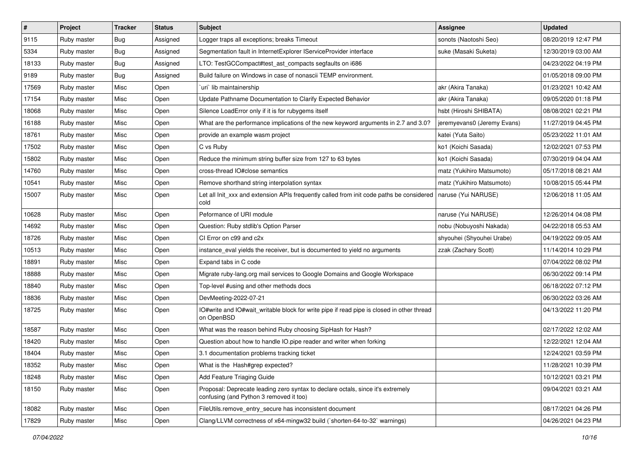| $\vert$ # | Project     | <b>Tracker</b> | <b>Status</b> | <b>Subject</b>                                                                                                             | Assignee                    | <b>Updated</b>      |
|-----------|-------------|----------------|---------------|----------------------------------------------------------------------------------------------------------------------------|-----------------------------|---------------------|
| 9115      | Ruby master | Bug            | Assigned      | Logger traps all exceptions; breaks Timeout                                                                                | sonots (Naotoshi Seo)       | 08/20/2019 12:47 PM |
| 5334      | Ruby master | Bug            | Assigned      | Segmentation fault in InternetExplorer IServiceProvider interface                                                          | suke (Masaki Suketa)        | 12/30/2019 03:00 AM |
| 18133     | Ruby master | <b>Bug</b>     | Assigned      | LTO: TestGCCompact#test_ast_compacts segfaults on i686                                                                     |                             | 04/23/2022 04:19 PM |
| 9189      | Ruby master | Bug            | Assigned      | Build failure on Windows in case of nonascii TEMP environment.                                                             |                             | 01/05/2018 09:00 PM |
| 17569     | Ruby master | Misc           | Open          | 'uri' lib maintainership                                                                                                   | akr (Akira Tanaka)          | 01/23/2021 10:42 AM |
| 17154     | Ruby master | Misc           | Open          | Update Pathname Documentation to Clarify Expected Behavior                                                                 | akr (Akira Tanaka)          | 09/05/2020 01:18 PM |
| 18068     | Ruby master | Misc           | Open          | Silence LoadError only if it is for rubygems itself                                                                        | hsbt (Hiroshi SHIBATA)      | 08/08/2021 02:21 PM |
| 16188     | Ruby master | Misc           | Open          | What are the performance implications of the new keyword arguments in 2.7 and 3.0?                                         | jeremyevans0 (Jeremy Evans) | 11/27/2019 04:45 PM |
| 18761     | Ruby master | Misc           | Open          | provide an example wasm project                                                                                            | katei (Yuta Saito)          | 05/23/2022 11:01 AM |
| 17502     | Ruby master | Misc           | Open          | C vs Ruby                                                                                                                  | ko1 (Koichi Sasada)         | 12/02/2021 07:53 PM |
| 15802     | Ruby master | Misc           | Open          | Reduce the minimum string buffer size from 127 to 63 bytes                                                                 | ko1 (Koichi Sasada)         | 07/30/2019 04:04 AM |
| 14760     | Ruby master | Misc           | Open          | cross-thread IO#close semantics                                                                                            | matz (Yukihiro Matsumoto)   | 05/17/2018 08:21 AM |
| 10541     | Ruby master | Misc           | Open          | Remove shorthand string interpolation syntax                                                                               | matz (Yukihiro Matsumoto)   | 10/08/2015 05:44 PM |
| 15007     | Ruby master | Misc           | Open          | Let all Init_xxx and extension APIs frequently called from init code paths be considered<br>cold                           | naruse (Yui NARUSE)         | 12/06/2018 11:05 AM |
| 10628     | Ruby master | Misc           | Open          | Peformance of URI module                                                                                                   | naruse (Yui NARUSE)         | 12/26/2014 04:08 PM |
| 14692     | Ruby master | Misc           | Open          | Question: Ruby stdlib's Option Parser                                                                                      | nobu (Nobuyoshi Nakada)     | 04/22/2018 05:53 AM |
| 18726     | Ruby master | Misc           | Open          | CI Error on c99 and c2x                                                                                                    | shyouhei (Shyouhei Urabe)   | 04/19/2022 09:05 AM |
| 10513     | Ruby master | Misc           | Open          | instance eval yields the receiver, but is documented to yield no arguments                                                 | zzak (Zachary Scott)        | 11/14/2014 10:29 PM |
| 18891     | Ruby master | Misc           | Open          | Expand tabs in C code                                                                                                      |                             | 07/04/2022 08:02 PM |
| 18888     | Ruby master | Misc           | Open          | Migrate ruby-lang.org mail services to Google Domains and Google Workspace                                                 |                             | 06/30/2022 09:14 PM |
| 18840     | Ruby master | Misc           | Open          | Top-level #using and other methods docs                                                                                    |                             | 06/18/2022 07:12 PM |
| 18836     | Ruby master | Misc           | Open          | DevMeeting-2022-07-21                                                                                                      |                             | 06/30/2022 03:26 AM |
| 18725     | Ruby master | Misc           | Open          | IO#write and IO#wait_writable block for write pipe if read pipe is closed in other thread<br>on OpenBSD                    |                             | 04/13/2022 11:20 PM |
| 18587     | Ruby master | Misc           | Open          | What was the reason behind Ruby choosing SipHash for Hash?                                                                 |                             | 02/17/2022 12:02 AM |
| 18420     | Ruby master | Misc           | Open          | Question about how to handle IO.pipe reader and writer when forking                                                        |                             | 12/22/2021 12:04 AM |
| 18404     | Ruby master | Misc           | Open          | 3.1 documentation problems tracking ticket                                                                                 |                             | 12/24/2021 03:59 PM |
| 18352     | Ruby master | Misc           | Open          | What is the Hash#grep expected?                                                                                            |                             | 11/28/2021 10:39 PM |
| 18248     | Ruby master | Misc           | Open          | Add Feature Triaging Guide                                                                                                 |                             | 10/12/2021 03:21 PM |
| 18150     | Ruby master | Misc           | Open          | Proposal: Deprecate leading zero syntax to declare octals, since it's extremely<br>confusing (and Python 3 removed it too) |                             | 09/04/2021 03:21 AM |
| 18082     | Ruby master | Misc           | Open          | FileUtils.remove_entry_secure has inconsistent document                                                                    |                             | 08/17/2021 04:26 PM |
| 17829     | Ruby master | Misc           | Open          | Clang/LLVM correctness of x64-mingw32 build (`shorten-64-to-32` warnings)                                                  |                             | 04/26/2021 04:23 PM |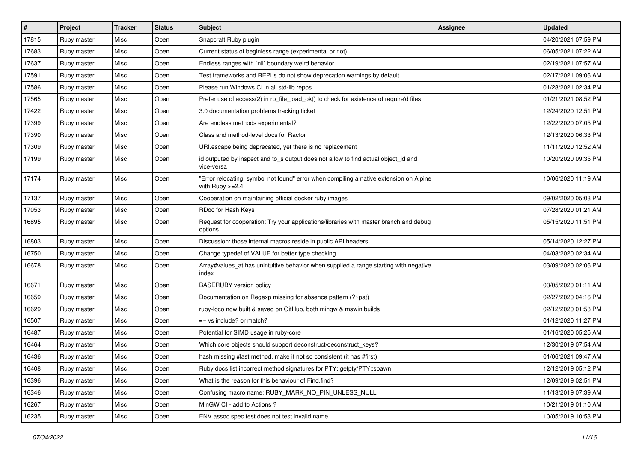| $\vert$ # | Project     | <b>Tracker</b> | <b>Status</b> | <b>Subject</b>                                                                                              | Assignee | <b>Updated</b>      |
|-----------|-------------|----------------|---------------|-------------------------------------------------------------------------------------------------------------|----------|---------------------|
| 17815     | Ruby master | Misc           | Open          | Snapcraft Ruby plugin                                                                                       |          | 04/20/2021 07:59 PM |
| 17683     | Ruby master | Misc           | Open          | Current status of beginless range (experimental or not)                                                     |          | 06/05/2021 07:22 AM |
| 17637     | Ruby master | Misc           | Open          | Endless ranges with 'nil' boundary weird behavior                                                           |          | 02/19/2021 07:57 AM |
| 17591     | Ruby master | Misc           | Open          | Test frameworks and REPLs do not show deprecation warnings by default                                       |          | 02/17/2021 09:06 AM |
| 17586     | Ruby master | Misc           | Open          | Please run Windows CI in all std-lib repos                                                                  |          | 01/28/2021 02:34 PM |
| 17565     | Ruby master | Misc           | Open          | Prefer use of access(2) in rb_file_load_ok() to check for existence of require'd files                      |          | 01/21/2021 08:52 PM |
| 17422     | Ruby master | Misc           | Open          | 3.0 documentation problems tracking ticket                                                                  |          | 12/24/2020 12:51 PM |
| 17399     | Ruby master | Misc           | Open          | Are endless methods experimental?                                                                           |          | 12/22/2020 07:05 PM |
| 17390     | Ruby master | Misc           | Open          | Class and method-level docs for Ractor                                                                      |          | 12/13/2020 06:33 PM |
| 17309     | Ruby master | Misc           | Open          | URI.escape being deprecated, yet there is no replacement                                                    |          | 11/11/2020 12:52 AM |
| 17199     | Ruby master | Misc           | Open          | id outputed by inspect and to_s output does not allow to find actual object_id and<br>vice-versa            |          | 10/20/2020 09:35 PM |
| 17174     | Ruby master | Misc           | Open          | "Error relocating, symbol not found" error when compiling a native extension on Alpine<br>with Ruby $>=2.4$ |          | 10/06/2020 11:19 AM |
| 17137     | Ruby master | Misc           | Open          | Cooperation on maintaining official docker ruby images                                                      |          | 09/02/2020 05:03 PM |
| 17053     | Ruby master | Misc           | Open          | RDoc for Hash Keys                                                                                          |          | 07/28/2020 01:21 AM |
| 16895     | Ruby master | Misc           | Open          | Request for cooperation: Try your applications/libraries with master branch and debug<br>options            |          | 05/15/2020 11:51 PM |
| 16803     | Ruby master | Misc           | Open          | Discussion: those internal macros reside in public API headers                                              |          | 05/14/2020 12:27 PM |
| 16750     | Ruby master | Misc           | Open          | Change typedef of VALUE for better type checking                                                            |          | 04/03/2020 02:34 AM |
| 16678     | Ruby master | Misc           | Open          | Array#values_at has unintuitive behavior when supplied a range starting with negative<br>index              |          | 03/09/2020 02:06 PM |
| 16671     | Ruby master | Misc           | Open          | <b>BASERUBY</b> version policy                                                                              |          | 03/05/2020 01:11 AM |
| 16659     | Ruby master | Misc           | Open          | Documentation on Regexp missing for absence pattern (?~pat)                                                 |          | 02/27/2020 04:16 PM |
| 16629     | Ruby master | Misc           | Open          | ruby-loco now built & saved on GitHub, both mingw & mswin builds                                            |          | 02/12/2020 01:53 PM |
| 16507     | Ruby master | Misc           | Open          | $=$ vs include? or match?                                                                                   |          | 01/12/2020 11:27 PM |
| 16487     | Ruby master | Misc           | Open          | Potential for SIMD usage in ruby-core                                                                       |          | 01/16/2020 05:25 AM |
| 16464     | Ruby master | Misc           | Open          | Which core objects should support deconstruct/deconstruct_keys?                                             |          | 12/30/2019 07:54 AM |
| 16436     | Ruby master | Misc           | Open          | hash missing #last method, make it not so consistent (it has #first)                                        |          | 01/06/2021 09:47 AM |
| 16408     | Ruby master | Misc           | Open          | Ruby docs list incorrect method signatures for PTY::getpty/PTY::spawn                                       |          | 12/12/2019 05:12 PM |
| 16396     | Ruby master | Misc           | Open          | What is the reason for this behaviour of Find.find?                                                         |          | 12/09/2019 02:51 PM |
| 16346     | Ruby master | Misc           | Open          | Confusing macro name: RUBY_MARK_NO_PIN_UNLESS_NULL                                                          |          | 11/13/2019 07:39 AM |
| 16267     | Ruby master | Misc           | Open          | MinGW CI - add to Actions ?                                                                                 |          | 10/21/2019 01:10 AM |
| 16235     | Ruby master | Misc           | Open          | ENV.assoc spec test does not test invalid name                                                              |          | 10/05/2019 10:53 PM |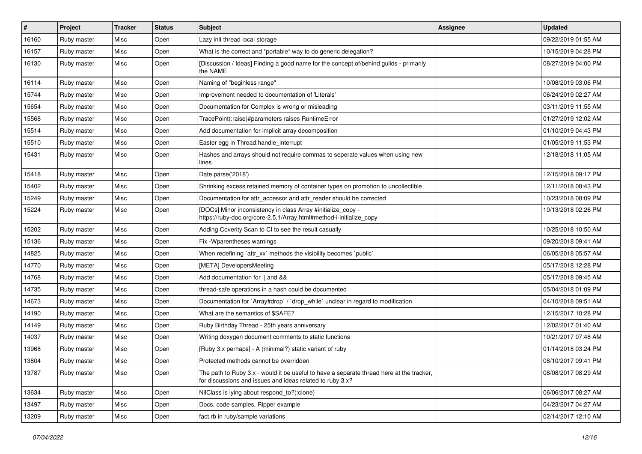| #     | Project     | <b>Tracker</b> | <b>Status</b> | <b>Subject</b>                                                                                                                                        | Assignee | <b>Updated</b>      |
|-------|-------------|----------------|---------------|-------------------------------------------------------------------------------------------------------------------------------------------------------|----------|---------------------|
| 16160 | Ruby master | Misc           | Open          | Lazy init thread local storage                                                                                                                        |          | 09/22/2019 01:55 AM |
| 16157 | Ruby master | Misc           | Open          | What is the correct and *portable* way to do generic delegation?                                                                                      |          | 10/15/2019 04:28 PM |
| 16130 | Ruby master | Misc           | Open          | [Discussion / Ideas] Finding a good name for the concept of/behind guilds - primarily<br>the NAME                                                     |          | 08/27/2019 04:00 PM |
| 16114 | Ruby master | Misc           | Open          | Naming of "beginless range"                                                                                                                           |          | 10/08/2019 03:06 PM |
| 15744 | Ruby master | Misc           | Open          | Improvement needed to documentation of 'Literals'                                                                                                     |          | 06/24/2019 02:27 AM |
| 15654 | Ruby master | Misc           | Open          | Documentation for Complex is wrong or misleading                                                                                                      |          | 03/11/2019 11:55 AM |
| 15568 | Ruby master | Misc           | Open          | TracePoint(:raise)#parameters raises RuntimeError                                                                                                     |          | 01/27/2019 12:02 AM |
| 15514 | Ruby master | Misc           | Open          | Add documentation for implicit array decomposition                                                                                                    |          | 01/10/2019 04:43 PM |
| 15510 | Ruby master | Misc           | Open          | Easter egg in Thread.handle_interrupt                                                                                                                 |          | 01/05/2019 11:53 PM |
| 15431 | Ruby master | Misc           | Open          | Hashes and arrays should not require commas to seperate values when using new<br>lines                                                                |          | 12/18/2018 11:05 AM |
| 15418 | Ruby master | Misc           | Open          | Date.parse('2018')                                                                                                                                    |          | 12/15/2018 09:17 PM |
| 15402 | Ruby master | Misc           | Open          | Shrinking excess retained memory of container types on promotion to uncollectible                                                                     |          | 12/11/2018 08:43 PM |
| 15249 | Ruby master | Misc           | Open          | Documentation for attr_accessor and attr_reader should be corrected                                                                                   |          | 10/23/2018 08:09 PM |
| 15224 | Ruby master | Misc           | Open          | [DOCs] Minor inconsistency in class Array #initialize_copy -<br>https://ruby-doc.org/core-2.5.1/Array.html#method-i-initialize_copy                   |          | 10/13/2018 02:26 PM |
| 15202 | Ruby master | Misc           | Open          | Adding Coverity Scan to CI to see the result casually                                                                                                 |          | 10/25/2018 10:50 AM |
| 15136 | Ruby master | Misc           | Open          | Fix - Wparentheses warnings                                                                                                                           |          | 09/20/2018 09:41 AM |
| 14825 | Ruby master | Misc           | Open          | When redefining 'attr_xx' methods the visibility becomes 'public'                                                                                     |          | 06/05/2018 05:57 AM |
| 14770 | Ruby master | Misc           | Open          | [META] DevelopersMeeting                                                                                                                              |          | 05/17/2018 12:28 PM |
| 14768 | Ruby master | Misc           | Open          | Add documentation for    and &&                                                                                                                       |          | 05/17/2018 09:45 AM |
| 14735 | Ruby master | Misc           | Open          | thread-safe operations in a hash could be documented                                                                                                  |          | 05/04/2018 01:09 PM |
| 14673 | Ruby master | Misc           | Open          | Documentation for `Array#drop` / `drop_while` unclear in regard to modification                                                                       |          | 04/10/2018 09:51 AM |
| 14190 | Ruby master | Misc           | Open          | What are the semantics of \$SAFE?                                                                                                                     |          | 12/15/2017 10:28 PM |
| 14149 | Ruby master | Misc           | Open          | Ruby Birthday Thread - 25th years anniversary                                                                                                         |          | 12/02/2017 01:40 AM |
| 14037 | Ruby master | Misc           | Open          | Writing doxygen document comments to static functions                                                                                                 |          | 10/21/2017 07:48 AM |
| 13968 | Ruby master | Misc           | Open          | [Ruby 3.x perhaps] - A (minimal?) static variant of ruby                                                                                              |          | 01/14/2018 03:24 PM |
| 13804 | Ruby master | Misc           | Open          | Protected methods cannot be overridden                                                                                                                |          | 08/10/2017 09:41 PM |
| 13787 | Ruby master | Misc           | Open          | The path to Ruby 3.x - would it be useful to have a separate thread here at the tracker,<br>for discussions and issues and ideas related to ruby 3.x? |          | 08/08/2017 08:29 AM |
| 13634 | Ruby master | Misc           | Open          | NilClass is lying about respond_to?(:clone)                                                                                                           |          | 06/06/2017 08:27 AM |
| 13497 | Ruby master | Misc           | Open          | Docs, code samples, Ripper example                                                                                                                    |          | 04/23/2017 04:27 AM |
| 13209 | Ruby master | Misc           | Open          | fact.rb in ruby/sample variations                                                                                                                     |          | 02/14/2017 12:10 AM |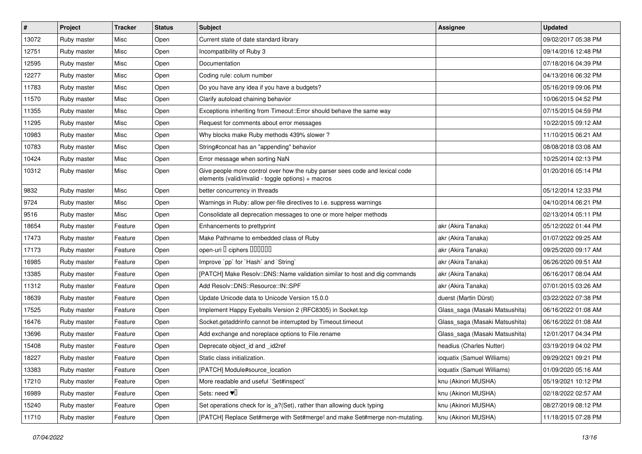| $\vert$ # | Project     | <b>Tracker</b> | <b>Status</b> | <b>Subject</b>                                                                                                                     | Assignee                       | <b>Updated</b>      |
|-----------|-------------|----------------|---------------|------------------------------------------------------------------------------------------------------------------------------------|--------------------------------|---------------------|
| 13072     | Ruby master | Misc           | Open          | Current state of date standard library                                                                                             |                                | 09/02/2017 05:38 PM |
| 12751     | Ruby master | Misc           | Open          | Incompatibility of Ruby 3                                                                                                          |                                | 09/14/2016 12:48 PM |
| 12595     | Ruby master | Misc           | Open          | Documentation                                                                                                                      |                                | 07/18/2016 04:39 PM |
| 12277     | Ruby master | Misc           | Open          | Coding rule: colum number                                                                                                          |                                | 04/13/2016 06:32 PM |
| 11783     | Ruby master | Misc           | Open          | Do you have any idea if you have a budgets?                                                                                        |                                | 05/16/2019 09:06 PM |
| 11570     | Ruby master | Misc           | Open          | Clarify autoload chaining behavior                                                                                                 |                                | 10/06/2015 04:52 PM |
| 11355     | Ruby master | Misc           | Open          | Exceptions inheriting from Timeout:: Error should behave the same way                                                              |                                | 07/15/2015 04:59 PM |
| 11295     | Ruby master | Misc           | Open          | Request for comments about error messages                                                                                          |                                | 10/22/2015 09:12 AM |
| 10983     | Ruby master | Misc           | Open          | Why blocks make Ruby methods 439% slower?                                                                                          |                                | 11/10/2015 06:21 AM |
| 10783     | Ruby master | Misc           | Open          | String#concat has an "appending" behavior                                                                                          |                                | 08/08/2018 03:08 AM |
| 10424     | Ruby master | Misc           | Open          | Error message when sorting NaN                                                                                                     |                                | 10/25/2014 02:13 PM |
| 10312     | Ruby master | Misc           | Open          | Give people more control over how the ruby parser sees code and lexical code<br>elements (valid/invalid - toggle options) + macros |                                | 01/20/2016 05:14 PM |
| 9832      | Ruby master | Misc           | Open          | better concurrency in threads                                                                                                      |                                | 05/12/2014 12:33 PM |
| 9724      | Ruby master | Misc           | Open          | Warnings in Ruby: allow per-file directives to i.e. suppress warnings                                                              |                                | 04/10/2014 06:21 PM |
| 9516      | Ruby master | Misc           | Open          | Consolidate all deprecation messages to one or more helper methods                                                                 |                                | 02/13/2014 05:11 PM |
| 18654     | Ruby master | Feature        | Open          | Enhancements to prettyprint                                                                                                        | akr (Akira Tanaka)             | 05/12/2022 01:44 PM |
| 17473     | Ruby master | Feature        | Open          | Make Pathname to embedded class of Ruby                                                                                            | akr (Akira Tanaka)             | 01/07/2022 09:25 AM |
| 17173     | Ruby master | Feature        | Open          | open-uri I ciphers IIIIIIII                                                                                                        | akr (Akira Tanaka)             | 09/25/2020 09:17 AM |
| 16985     | Ruby master | Feature        | Open          | Improve `pp` for `Hash` and `String`                                                                                               | akr (Akira Tanaka)             | 06/26/2020 09:51 AM |
| 13385     | Ruby master | Feature        | Open          | [PATCH] Make Resolv::DNS::Name validation similar to host and dig commands                                                         | akr (Akira Tanaka)             | 06/16/2017 08:04 AM |
| 11312     | Ruby master | Feature        | Open          | Add Resolv::DNS::Resource::IN::SPF                                                                                                 | akr (Akira Tanaka)             | 07/01/2015 03:26 AM |
| 18639     | Ruby master | Feature        | Open          | Update Unicode data to Unicode Version 15.0.0                                                                                      | duerst (Martin Dürst)          | 03/22/2022 07:38 PM |
| 17525     | Ruby master | Feature        | Open          | Implement Happy Eyeballs Version 2 (RFC8305) in Socket.tcp                                                                         | Glass saga (Masaki Matsushita) | 06/16/2022 01:08 AM |
| 16476     | Ruby master | Feature        | Open          | Socket.getaddrinfo cannot be interrupted by Timeout.timeout                                                                        | Glass_saga (Masaki Matsushita) | 06/16/2022 01:08 AM |
| 13696     | Ruby master | Feature        | Open          | Add exchange and noreplace options to File.rename                                                                                  | Glass_saga (Masaki Matsushita) | 12/01/2017 04:34 PM |
| 15408     | Ruby master | Feature        | Open          | Deprecate object_id and _id2ref                                                                                                    | headius (Charles Nutter)       | 03/19/2019 04:02 PM |
| 18227     | Ruby master | Feature        | Open          | Static class initialization.                                                                                                       | ioquatix (Samuel Williams)     | 09/29/2021 09:21 PM |
| 13383     | Ruby master | Feature        | Open          | [PATCH] Module#source location                                                                                                     | ioquatix (Samuel Williams)     | 01/09/2020 05:16 AM |
| 17210     | Ruby master | Feature        | Open          | More readable and useful `Set#inspect`                                                                                             | knu (Akinori MUSHA)            | 05/19/2021 10:12 PM |
| 16989     | Ruby master | Feature        | Open          | Sets: need $\Psi$ <sup>[]</sup>                                                                                                    | knu (Akinori MUSHA)            | 02/18/2022 02:57 AM |
| 15240     | Ruby master | Feature        | Open          | Set operations check for is_a?(Set), rather than allowing duck typing                                                              | knu (Akinori MUSHA)            | 08/27/2019 08:12 PM |
| 11710     | Ruby master | Feature        | Open          | [PATCH] Replace Set#merge with Set#merge! and make Set#merge non-mutating.                                                         | knu (Akinori MUSHA)            | 11/18/2015 07:28 PM |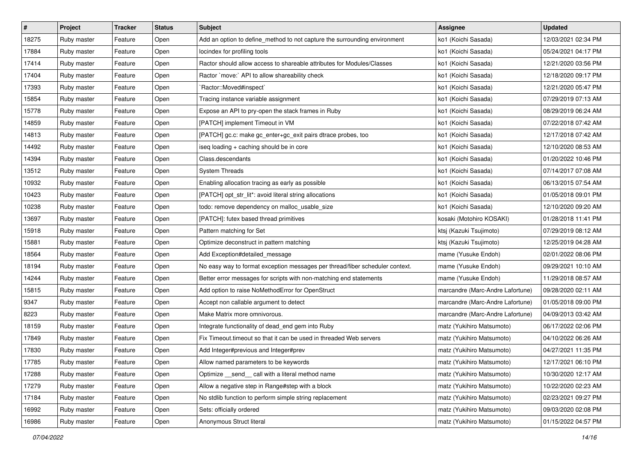| $\vert$ # | Project     | <b>Tracker</b> | <b>Status</b> | <b>Subject</b>                                                               | Assignee                         | <b>Updated</b>      |
|-----------|-------------|----------------|---------------|------------------------------------------------------------------------------|----------------------------------|---------------------|
| 18275     | Ruby master | Feature        | Open          | Add an option to define method to not capture the surrounding environment    | ko1 (Koichi Sasada)              | 12/03/2021 02:34 PM |
| 17884     | Ruby master | Feature        | Open          | locindex for profiling tools                                                 | ko1 (Koichi Sasada)              | 05/24/2021 04:17 PM |
| 17414     | Ruby master | Feature        | Open          | Ractor should allow access to shareable attributes for Modules/Classes       | ko1 (Koichi Sasada)              | 12/21/2020 03:56 PM |
| 17404     | Ruby master | Feature        | Open          | Ractor `move:` API to allow shareability check                               | ko1 (Koichi Sasada)              | 12/18/2020 09:17 PM |
| 17393     | Ruby master | Feature        | Open          | 'Ractor::Moved#inspect'                                                      | ko1 (Koichi Sasada)              | 12/21/2020 05:47 PM |
| 15854     | Ruby master | Feature        | Open          | Tracing instance variable assignment                                         | ko1 (Koichi Sasada)              | 07/29/2019 07:13 AM |
| 15778     | Ruby master | Feature        | Open          | Expose an API to pry-open the stack frames in Ruby                           | ko1 (Koichi Sasada)              | 08/29/2019 06:24 AM |
| 14859     | Ruby master | Feature        | Open          | [PATCH] implement Timeout in VM                                              | ko1 (Koichi Sasada)              | 07/22/2018 07:42 AM |
| 14813     | Ruby master | Feature        | Open          | [PATCH] gc.c: make gc_enter+gc_exit pairs dtrace probes, too                 | ko1 (Koichi Sasada)              | 12/17/2018 07:42 AM |
| 14492     | Ruby master | Feature        | Open          | iseq loading + caching should be in core                                     | ko1 (Koichi Sasada)              | 12/10/2020 08:53 AM |
| 14394     | Ruby master | Feature        | Open          | Class.descendants                                                            | ko1 (Koichi Sasada)              | 01/20/2022 10:46 PM |
| 13512     | Ruby master | Feature        | Open          | <b>System Threads</b>                                                        | ko1 (Koichi Sasada)              | 07/14/2017 07:08 AM |
| 10932     | Ruby master | Feature        | Open          | Enabling allocation tracing as early as possible                             | ko1 (Koichi Sasada)              | 06/13/2015 07:54 AM |
| 10423     | Ruby master | Feature        | Open          | [PATCH] opt_str_lit*: avoid literal string allocations                       | ko1 (Koichi Sasada)              | 01/05/2018 09:01 PM |
| 10238     | Ruby master | Feature        | Open          | todo: remove dependency on malloc_usable_size                                | ko1 (Koichi Sasada)              | 12/10/2020 09:20 AM |
| 13697     | Ruby master | Feature        | Open          | [PATCH]: futex based thread primitives                                       | kosaki (Motohiro KOSAKI)         | 01/28/2018 11:41 PM |
| 15918     | Ruby master | Feature        | Open          | Pattern matching for Set                                                     | ktsj (Kazuki Tsujimoto)          | 07/29/2019 08:12 AM |
| 15881     | Ruby master | Feature        | Open          | Optimize deconstruct in pattern matching                                     | ktsj (Kazuki Tsujimoto)          | 12/25/2019 04:28 AM |
| 18564     | Ruby master | Feature        | Open          | Add Exception#detailed message                                               | mame (Yusuke Endoh)              | 02/01/2022 08:06 PM |
| 18194     | Ruby master | Feature        | Open          | No easy way to format exception messages per thread/fiber scheduler context. | mame (Yusuke Endoh)              | 09/29/2021 10:10 AM |
| 14244     | Ruby master | Feature        | Open          | Better error messages for scripts with non-matching end statements           | mame (Yusuke Endoh)              | 11/29/2018 08:57 AM |
| 15815     | Ruby master | Feature        | Open          | Add option to raise NoMethodError for OpenStruct                             | marcandre (Marc-Andre Lafortune) | 09/28/2020 02:11 AM |
| 9347      | Ruby master | Feature        | Open          | Accept non callable argument to detect                                       | marcandre (Marc-Andre Lafortune) | 01/05/2018 09:00 PM |
| 8223      | Ruby master | Feature        | Open          | Make Matrix more omnivorous.                                                 | marcandre (Marc-Andre Lafortune) | 04/09/2013 03:42 AM |
| 18159     | Ruby master | Feature        | Open          | Integrate functionality of dead_end gem into Ruby                            | matz (Yukihiro Matsumoto)        | 06/17/2022 02:06 PM |
| 17849     | Ruby master | Feature        | Open          | Fix Timeout timeout so that it can be used in threaded Web servers           | matz (Yukihiro Matsumoto)        | 04/10/2022 06:26 AM |
| 17830     | Ruby master | Feature        | Open          | Add Integer#previous and Integer#prev                                        | matz (Yukihiro Matsumoto)        | 04/27/2021 11:35 PM |
| 17785     | Ruby master | Feature        | Open          | Allow named parameters to be keywords                                        | matz (Yukihiro Matsumoto)        | 12/17/2021 06:10 PM |
| 17288     | Ruby master | Feature        | Open          | Optimize send call with a literal method name                                | matz (Yukihiro Matsumoto)        | 10/30/2020 12:17 AM |
| 17279     | Ruby master | Feature        | Open          | Allow a negative step in Range#step with a block                             | matz (Yukihiro Matsumoto)        | 10/22/2020 02:23 AM |
| 17184     | Ruby master | Feature        | Open          | No stdlib function to perform simple string replacement                      | matz (Yukihiro Matsumoto)        | 02/23/2021 09:27 PM |
| 16992     | Ruby master | Feature        | Open          | Sets: officially ordered                                                     | matz (Yukihiro Matsumoto)        | 09/03/2020 02:08 PM |
| 16986     | Ruby master | Feature        | Open          | Anonymous Struct literal                                                     | matz (Yukihiro Matsumoto)        | 01/15/2022 04:57 PM |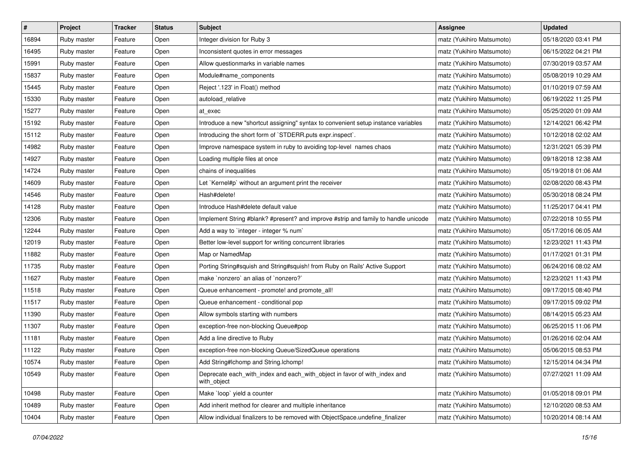| $\sharp$ | Project     | Tracker | <b>Status</b> | <b>Subject</b>                                                                           | Assignee                  | <b>Updated</b>      |
|----------|-------------|---------|---------------|------------------------------------------------------------------------------------------|---------------------------|---------------------|
| 16894    | Ruby master | Feature | Open          | Integer division for Ruby 3                                                              | matz (Yukihiro Matsumoto) | 05/18/2020 03:41 PM |
| 16495    | Ruby master | Feature | Open          | Inconsistent quotes in error messages                                                    | matz (Yukihiro Matsumoto) | 06/15/2022 04:21 PM |
| 15991    | Ruby master | Feature | Open          | Allow questionmarks in variable names                                                    | matz (Yukihiro Matsumoto) | 07/30/2019 03:57 AM |
| 15837    | Ruby master | Feature | Open          | Module#name components                                                                   | matz (Yukihiro Matsumoto) | 05/08/2019 10:29 AM |
| 15445    | Ruby master | Feature | Open          | Reject '.123' in Float() method                                                          | matz (Yukihiro Matsumoto) | 01/10/2019 07:59 AM |
| 15330    | Ruby master | Feature | Open          | autoload_relative                                                                        | matz (Yukihiro Matsumoto) | 06/19/2022 11:25 PM |
| 15277    | Ruby master | Feature | Open          | at exec                                                                                  | matz (Yukihiro Matsumoto) | 05/25/2020 01:09 AM |
| 15192    | Ruby master | Feature | Open          | Introduce a new "shortcut assigning" syntax to convenient setup instance variables       | matz (Yukihiro Matsumoto) | 12/14/2021 06:42 PM |
| 15112    | Ruby master | Feature | Open          | Introducing the short form of `STDERR.puts expr.inspect`.                                | matz (Yukihiro Matsumoto) | 10/12/2018 02:02 AM |
| 14982    | Ruby master | Feature | Open          | Improve namespace system in ruby to avoiding top-level names chaos                       | matz (Yukihiro Matsumoto) | 12/31/2021 05:39 PM |
| 14927    | Ruby master | Feature | Open          | Loading multiple files at once                                                           | matz (Yukihiro Matsumoto) | 09/18/2018 12:38 AM |
| 14724    | Ruby master | Feature | Open          | chains of inequalities                                                                   | matz (Yukihiro Matsumoto) | 05/19/2018 01:06 AM |
| 14609    | Ruby master | Feature | Open          | Let `Kernel#p` without an argument print the receiver                                    | matz (Yukihiro Matsumoto) | 02/08/2020 08:43 PM |
| 14546    | Ruby master | Feature | Open          | Hash#delete!                                                                             | matz (Yukihiro Matsumoto) | 05/30/2018 08:24 PM |
| 14128    | Ruby master | Feature | Open          | Introduce Hash#delete default value                                                      | matz (Yukihiro Matsumoto) | 11/25/2017 04:41 PM |
| 12306    | Ruby master | Feature | Open          | Implement String #blank? #present? and improve #strip and family to handle unicode       | matz (Yukihiro Matsumoto) | 07/22/2018 10:55 PM |
| 12244    | Ruby master | Feature | Open          | Add a way to 'integer - integer % num'                                                   | matz (Yukihiro Matsumoto) | 05/17/2016 06:05 AM |
| 12019    | Ruby master | Feature | Open          | Better low-level support for writing concurrent libraries                                | matz (Yukihiro Matsumoto) | 12/23/2021 11:43 PM |
| 11882    | Ruby master | Feature | Open          | Map or NamedMap                                                                          | matz (Yukihiro Matsumoto) | 01/17/2021 01:31 PM |
| 11735    | Ruby master | Feature | Open          | Porting String#squish and String#squish! from Ruby on Rails' Active Support              | matz (Yukihiro Matsumoto) | 06/24/2016 08:02 AM |
| 11627    | Ruby master | Feature | Open          | make `nonzero` an alias of `nonzero?`                                                    | matz (Yukihiro Matsumoto) | 12/23/2021 11:43 PM |
| 11518    | Ruby master | Feature | Open          | Queue enhancement - promote! and promote_all!                                            | matz (Yukihiro Matsumoto) | 09/17/2015 08:40 PM |
| 11517    | Ruby master | Feature | Open          | Queue enhancement - conditional pop                                                      | matz (Yukihiro Matsumoto) | 09/17/2015 09:02 PM |
| 11390    | Ruby master | Feature | Open          | Allow symbols starting with numbers                                                      | matz (Yukihiro Matsumoto) | 08/14/2015 05:23 AM |
| 11307    | Ruby master | Feature | Open          | exception-free non-blocking Queue#pop                                                    | matz (Yukihiro Matsumoto) | 06/25/2015 11:06 PM |
| 11181    | Ruby master | Feature | Open          | Add a line directive to Ruby                                                             | matz (Yukihiro Matsumoto) | 01/26/2016 02:04 AM |
| 11122    | Ruby master | Feature | Open          | exception-free non-blocking Queue/SizedQueue operations                                  | matz (Yukihiro Matsumoto) | 05/06/2015 08:53 PM |
| 10574    | Ruby master | Feature | Open          | Add String#Ichomp and String.Ichomp!                                                     | matz (Yukihiro Matsumoto) | 12/15/2014 04:34 PM |
| 10549    | Ruby master | Feature | Open          | Deprecate each_with_index and each_with_object in favor of with_index and<br>with_object | matz (Yukihiro Matsumoto) | 07/27/2021 11:09 AM |
| 10498    | Ruby master | Feature | Open          | Make `loop` yield a counter                                                              | matz (Yukihiro Matsumoto) | 01/05/2018 09:01 PM |
| 10489    | Ruby master | Feature | Open          | Add inherit method for clearer and multiple inheritance                                  | matz (Yukihiro Matsumoto) | 12/10/2020 08:53 AM |
| 10404    | Ruby master | Feature | Open          | Allow individual finalizers to be removed with ObjectSpace.undefine_finalizer            | matz (Yukihiro Matsumoto) | 10/20/2014 08:14 AM |